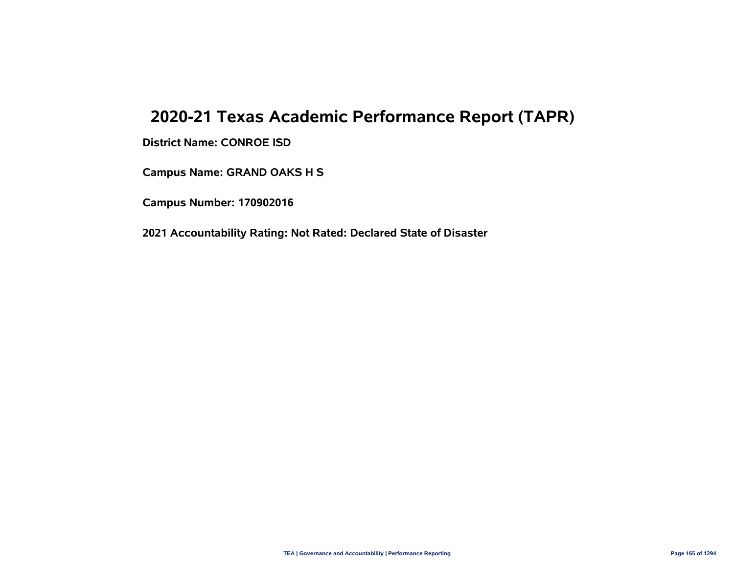# **2020-21 Texas Academic Performance Report (TAPR)**

**District Name: CONROE ISD**

**Campus Name: GRAND OAKS H S**

**Campus Number: 170902016**

**2021 Accountability Rating: Not Rated: Declared State of Disaster**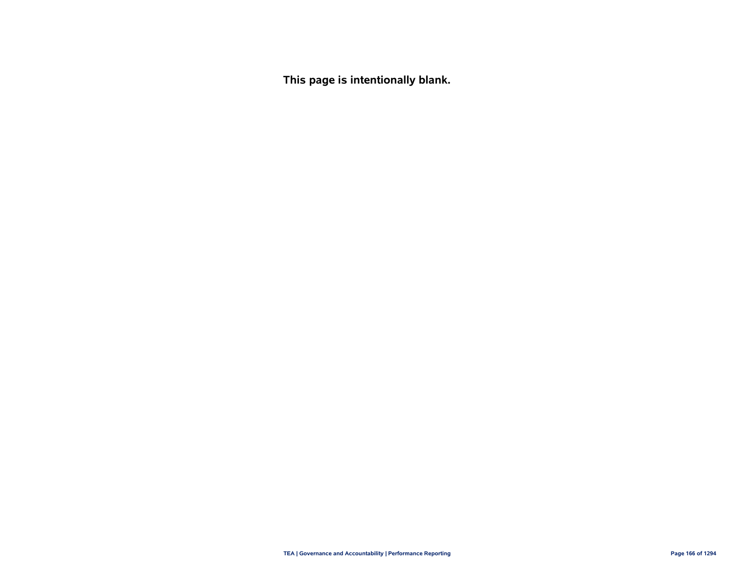**This page is intentionally blank.**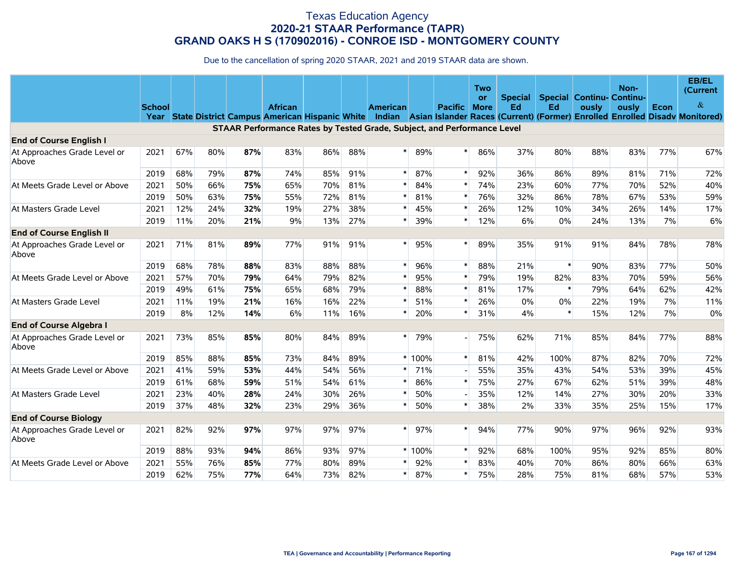# Texas Education Agency **2020-21 STAAR Performance (TAPR) GRAND OAKS H S (170902016) - CONROE ISD - MONTGOMERY COUNTY**

Due to the cancellation of spring 2020 STAAR, 2021 and 2019 STAAR data are shown.

|                                       |                       |     |     |     |                |     |     |                                                                         |        |                | Two         |                |        |                                  | Non-  |      | EB/EL<br>(Current                                                                                                                |
|---------------------------------------|-----------------------|-----|-----|-----|----------------|-----|-----|-------------------------------------------------------------------------|--------|----------------|-------------|----------------|--------|----------------------------------|-------|------|----------------------------------------------------------------------------------------------------------------------------------|
|                                       |                       |     |     |     |                |     |     |                                                                         |        |                | or          | <b>Special</b> |        | <b>Special Continu- Continu-</b> |       |      | $\alpha$                                                                                                                         |
|                                       | <b>School</b><br>Year |     |     |     | <b>African</b> |     |     | <b>American</b>                                                         |        | <b>Pacific</b> | <b>More</b> | Ed             | Ed     | ously                            | ously | Econ | State District Campus American Hispanic White Indian Asian Islander Races (Current) (Former) Enrolled Enrolled Disady Monitored) |
|                                       |                       |     |     |     |                |     |     | STAAR Performance Rates by Tested Grade, Subject, and Performance Level |        |                |             |                |        |                                  |       |      |                                                                                                                                  |
| <b>End of Course English I</b>        |                       |     |     |     |                |     |     |                                                                         |        |                |             |                |        |                                  |       |      |                                                                                                                                  |
| At Approaches Grade Level or<br>Above | 2021                  | 67% | 80% | 87% | 83%            | 86% | 88% | $\ast$                                                                  | 89%    | $\ast$         | 86%         | 37%            | 80%    | 88%                              | 83%   | 77%  | 67%                                                                                                                              |
|                                       | 2019                  | 68% | 79% | 87% | 74%            | 85% | 91% | $\ast$                                                                  | 87%    | $\ast$         | 92%         | 36%            | 86%    | 89%                              | 81%   | 71%  | 72%                                                                                                                              |
| At Meets Grade Level or Above         | 2021                  | 50% | 66% | 75% | 65%            | 70% | 81% | $\ast$                                                                  | 84%    | $\ast$         | 74%         | 23%            | 60%    | 77%                              | 70%   | 52%  | 40%                                                                                                                              |
|                                       | 2019                  | 50% | 63% | 75% | 55%            | 72% | 81% |                                                                         | 81%    | $\ast$         | 76%         | 32%            | 86%    | 78%                              | 67%   | 53%  | 59%                                                                                                                              |
| At Masters Grade Level                | 2021                  | 12% | 24% | 32% | 19%            | 27% | 38% |                                                                         | 45%    | $\ast$         | 26%         | 12%            | 10%    | 34%                              | 26%   | 14%  | 17%                                                                                                                              |
|                                       | 2019                  | 11% | 20% | 21% | 9%             | 13% | 27% | $\ast$                                                                  | 39%    | $\ast$         | 12%         | 6%             | 0%     | 24%                              | 13%   | 7%   | 6%                                                                                                                               |
| <b>End of Course English II</b>       |                       |     |     |     |                |     |     |                                                                         |        |                |             |                |        |                                  |       |      |                                                                                                                                  |
| At Approaches Grade Level or<br>Above | 2021                  | 71% | 81% | 89% | 77%            | 91% | 91% | $\ast$                                                                  | 95%    | $\ast$         | 89%         | 35%            | 91%    | 91%                              | 84%   | 78%  | 78%                                                                                                                              |
|                                       | 2019                  | 68% | 78% | 88% | 83%            | 88% | 88% | $\ast$                                                                  | 96%    | $\ast$         | 88%         | 21%            | $\ast$ | 90%                              | 83%   | 77%  | 50%                                                                                                                              |
| At Meets Grade Level or Above         | 2021                  | 57% | 70% | 79% | 64%            | 79% | 82% |                                                                         | 95%    | $\ast$         | 79%         | 19%            | 82%    | 83%                              | 70%   | 59%  | 56%                                                                                                                              |
|                                       | 2019                  | 49% | 61% | 75% | 65%            | 68% | 79% |                                                                         | 88%    | $\ast$         | 81%         | 17%            | $\ast$ | 79%                              | 64%   | 62%  | 42%                                                                                                                              |
| At Masters Grade Level                | 2021                  | 11% | 19% | 21% | 16%            | 16% | 22% |                                                                         | 51%    | $\ast$         | 26%         | $0\%$          | 0%     | 22%                              | 19%   | 7%   | 11%                                                                                                                              |
|                                       | 2019                  | 8%  | 12% | 14% | 6%             | 11% | 16% |                                                                         | 20%    | $\ast$         | 31%         | 4%             | $\ast$ | 15%                              | 12%   | 7%   | 0%                                                                                                                               |
| <b>End of Course Algebra I</b>        |                       |     |     |     |                |     |     |                                                                         |        |                |             |                |        |                                  |       |      |                                                                                                                                  |
| At Approaches Grade Level or<br>Above | 2021                  | 73% | 85% | 85% | 80%            | 84% | 89% | $\ast$                                                                  | 79%    |                | 75%         | 62%            | 71%    | 85%                              | 84%   | 77%  | 88%                                                                                                                              |
|                                       | 2019                  | 85% | 88% | 85% | 73%            | 84% | 89% |                                                                         | * 100% | $\ast$         | 81%         | 42%            | 100%   | 87%                              | 82%   | 70%  | 72%                                                                                                                              |
| At Meets Grade Level or Above         | 2021                  | 41% | 59% | 53% | 44%            | 54% | 56% |                                                                         | 71%    |                | 55%         | 35%            | 43%    | 54%                              | 53%   | 39%  | 45%                                                                                                                              |
|                                       | 2019                  | 61% | 68% | 59% | 51%            | 54% | 61% | $\ast$                                                                  | 86%    | $\ast$         | 75%         | 27%            | 67%    | 62%                              | 51%   | 39%  | 48%                                                                                                                              |
| At Masters Grade Level                | 2021                  | 23% | 40% | 28% | 24%            | 30% | 26% |                                                                         | 50%    |                | 35%         | 12%            | 14%    | 27%                              | 30%   | 20%  | 33%                                                                                                                              |
|                                       | 2019                  | 37% | 48% | 32% | 23%            | 29% | 36% | $\ast$                                                                  | 50%    | $\ast$         | 38%         | 2%             | 33%    | 35%                              | 25%   | 15%  | 17%                                                                                                                              |
| <b>End of Course Biology</b>          |                       |     |     |     |                |     |     |                                                                         |        |                |             |                |        |                                  |       |      |                                                                                                                                  |
| At Approaches Grade Level or<br>Above | 2021                  | 82% | 92% | 97% | 97%            | 97% | 97% | $\ast$                                                                  | 97%    | $\ast$         | 94%         | 77%            | 90%    | 97%                              | 96%   | 92%  | 93%                                                                                                                              |
|                                       | 2019                  | 88% | 93% | 94% | 86%            | 93% | 97% |                                                                         | * 100% | $\ast$         | 92%         | 68%            | 100%   | 95%                              | 92%   | 85%  | 80%                                                                                                                              |
| At Meets Grade Level or Above         | 2021                  | 55% | 76% | 85% | 77%            | 80% | 89% |                                                                         | 92%    |                | 83%         | 40%            | 70%    | 86%                              | 80%   | 66%  | 63%                                                                                                                              |
|                                       | 2019                  | 62% | 75% | 77% | 64%            | 73% | 82% |                                                                         | 87%    | $\ast$         | 75%         | 28%            | 75%    | 81%                              | 68%   | 57%  | 53%                                                                                                                              |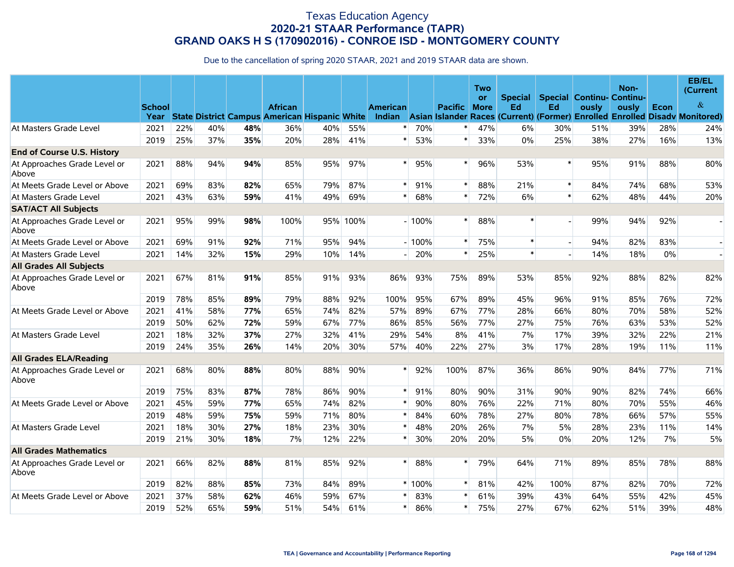# Texas Education Agency **2020-21 STAAR Performance (TAPR) GRAND OAKS H S (170902016) - CONROE ISD - MONTGOMERY COUNTY**

Due to the cancellation of spring 2020 STAAR, 2021 and 2019 STAAR data are shown.

|                                       |               |     |     |     |                                                      |     |          |                 |         |                | Two                      |                 |        |                                           | Non-  |      | EB/EL<br>(Current                                                           |
|---------------------------------------|---------------|-----|-----|-----|------------------------------------------------------|-----|----------|-----------------|---------|----------------|--------------------------|-----------------|--------|-------------------------------------------|-------|------|-----------------------------------------------------------------------------|
|                                       | <b>School</b> |     |     |     | <b>African</b>                                       |     |          | <b>American</b> |         | <b>Pacific</b> | <b>or</b><br><b>More</b> | Special  <br>Ed | Ed     | <b>Special Continu- Continu-</b><br>ously | ously | Econ | $\&$                                                                        |
|                                       | Year          |     |     |     | <b>State District Campus American Hispanic White</b> |     |          | Indian          |         |                |                          |                 |        |                                           |       |      | Asian Islander Races (Current) (Former) Enrolled Enrolled Disady Monitored) |
| At Masters Grade Level                | 2021          | 22% | 40% | 48% | 36%                                                  | 40% | 55%      |                 | 70%     |                | 47%                      | 6%              | 30%    | 51%                                       | 39%   | 28%  | 24%                                                                         |
|                                       | 2019          | 25% | 37% | 35% | 20%                                                  | 28% | 41%      | $\ast$          | 53%     | $\ast$         | 33%                      | $0\%$           | 25%    | 38%                                       | 27%   | 16%  | 13%                                                                         |
| <b>End of Course U.S. History</b>     |               |     |     |     |                                                      |     |          |                 |         |                |                          |                 |        |                                           |       |      |                                                                             |
| At Approaches Grade Level or<br>Above | 2021          | 88% | 94% | 94% | 85%                                                  | 95% | 97%      | $\ast$          | 95%     | $\ast$         | 96%                      | 53%             | $\ast$ | 95%                                       | 91%   | 88%  | 80%                                                                         |
| At Meets Grade Level or Above         | 2021          | 69% | 83% | 82% | 65%                                                  | 79% | 87%      | $\ast$          | 91%     | $\ast$         | 88%                      | 21%             | $\ast$ | 84%                                       | 74%   | 68%  | 53%                                                                         |
| At Masters Grade Level                | 2021          | 43% | 63% | 59% | 41%                                                  | 49% | 69%      | $\ast$          | 68%     | $\ast$         | 72%                      | 6%              | $\ast$ | 62%                                       | 48%   | 44%  | 20%                                                                         |
| <b>SAT/ACT All Subjects</b>           |               |     |     |     |                                                      |     |          |                 |         |                |                          |                 |        |                                           |       |      |                                                                             |
| At Approaches Grade Level or<br>Above | 2021          | 95% | 99% | 98% | 100%                                                 |     | 95% 100% |                 | $-100%$ | $\ast$         | 88%                      | $\ast$          |        | 99%                                       | 94%   | 92%  |                                                                             |
| At Meets Grade Level or Above         | 2021          | 69% | 91% | 92% | 71%                                                  | 95% | 94%      |                 | $-100%$ | $\ast$         | 75%                      | $\ast$          | $\sim$ | 94%                                       | 82%   | 83%  |                                                                             |
| At Masters Grade Level                | 2021          | 14% | 32% | 15% | 29%                                                  | 10% | 14%      |                 | 20%     | $\ast$         | 25%                      | $\ast$          |        | 14%                                       | 18%   | 0%   |                                                                             |
| <b>All Grades All Subjects</b>        |               |     |     |     |                                                      |     |          |                 |         |                |                          |                 |        |                                           |       |      |                                                                             |
| At Approaches Grade Level or<br>Above | 2021          | 67% | 81% | 91% | 85%                                                  | 91% | 93%      | 86%             | 93%     | 75%            | 89%                      | 53%             | 85%    | 92%                                       | 88%   | 82%  | 82%                                                                         |
|                                       | 2019          | 78% | 85% | 89% | 79%                                                  | 88% | 92%      | 100%            | 95%     | 67%            | 89%                      | 45%             | 96%    | 91%                                       | 85%   | 76%  | 72%                                                                         |
| At Meets Grade Level or Above         | 2021          | 41% | 58% | 77% | 65%                                                  | 74% | 82%      | 57%             | 89%     | 67%            | 77%                      | 28%             | 66%    | 80%                                       | 70%   | 58%  | 52%                                                                         |
|                                       | 2019          | 50% | 62% | 72% | 59%                                                  | 67% | 77%      | 86%             | 85%     | 56%            | 77%                      | 27%             | 75%    | 76%                                       | 63%   | 53%  | 52%                                                                         |
| At Masters Grade Level                | 2021          | 18% | 32% | 37% | 27%                                                  | 32% | 41%      | 29%             | 54%     | 8%             | 41%                      | 7%              | 17%    | 39%                                       | 32%   | 22%  | 21%                                                                         |
|                                       | 2019          | 24% | 35% | 26% | 14%                                                  | 20% | 30%      | 57%             | 40%     | 22%            | 27%                      | 3%              | 17%    | 28%                                       | 19%   | 11%  | 11%                                                                         |
| <b>All Grades ELA/Reading</b>         |               |     |     |     |                                                      |     |          |                 |         |                |                          |                 |        |                                           |       |      |                                                                             |
| At Approaches Grade Level or<br>Above | 2021          | 68% | 80% | 88% | 80%                                                  | 88% | 90%      | $\ast$          | 92%     | 100%           | 87%                      | 36%             | 86%    | 90%                                       | 84%   | 77%  | 71%                                                                         |
|                                       | 2019          | 75% | 83% | 87% | 78%                                                  | 86% | 90%      | $\ast$          | 91%     | 80%            | 90%                      | 31%             | 90%    | 90%                                       | 82%   | 74%  | 66%                                                                         |
| At Meets Grade Level or Above         | 2021          | 45% | 59% | 77% | 65%                                                  | 74% | 82%      |                 | 90%     | 80%            | 76%                      | 22%             | 71%    | 80%                                       | 70%   | 55%  | 46%                                                                         |
|                                       | 2019          | 48% | 59% | 75% | 59%                                                  | 71% | 80%      |                 | 84%     | 60%            | 78%                      | 27%             | 80%    | 78%                                       | 66%   | 57%  | 55%                                                                         |
| At Masters Grade Level                | 2021          | 18% | 30% | 27% | 18%                                                  | 23% | 30%      | $\ast$          | 48%     | 20%            | 26%                      | 7%              | 5%     | 28%                                       | 23%   | 11%  | 14%                                                                         |
|                                       | 2019          | 21% | 30% | 18% | 7%                                                   | 12% | 22%      | $\ast$          | 30%     | 20%            | 20%                      | 5%              | 0%     | 20%                                       | 12%   | 7%   | 5%                                                                          |
| <b>All Grades Mathematics</b>         |               |     |     |     |                                                      |     |          |                 |         |                |                          |                 |        |                                           |       |      |                                                                             |
| At Approaches Grade Level or<br>Above | 2021          | 66% | 82% | 88% | 81%                                                  | 85% | 92%      | $\ast$          | 88%     | *              | 79%                      | 64%             | 71%    | 89%                                       | 85%   | 78%  | 88%                                                                         |
|                                       | 2019          | 82% | 88% | 85% | 73%                                                  | 84% | 89%      |                 | * 100%  | $\ast$         | 81%                      | 42%             | 100%   | 87%                                       | 82%   | 70%  | 72%                                                                         |
| At Meets Grade Level or Above         | 2021          | 37% | 58% | 62% | 46%                                                  | 59% | 67%      |                 | 83%     |                | 61%                      | 39%             | 43%    | 64%                                       | 55%   | 42%  | 45%                                                                         |
|                                       | 2019          | 52% | 65% | 59% | 51%                                                  | 54% | 61%      |                 | 86%     |                | 75%                      | 27%             | 67%    | 62%                                       | 51%   | 39%  | 48%                                                                         |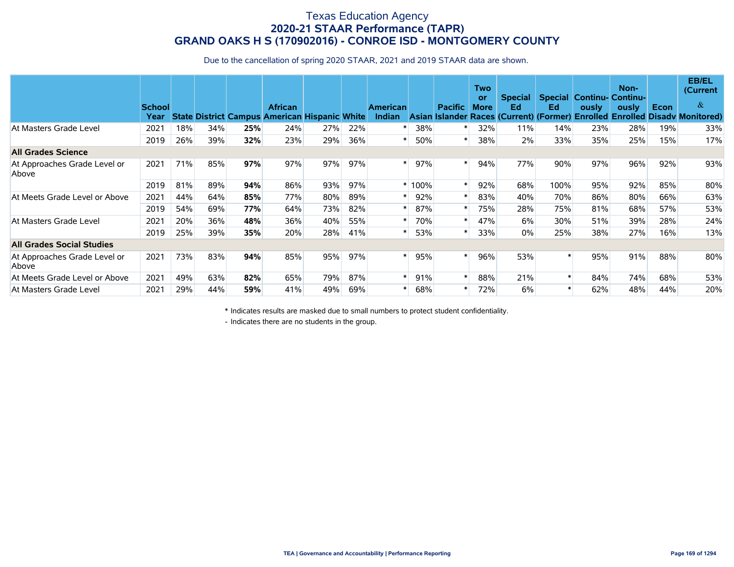# Texas Education Agency **2020-21 STAAR Performance (TAPR) GRAND OAKS H S (170902016) - CONROE ISD - MONTGOMERY COUNTY**

Due to the cancellation of spring 2020 STAAR, 2021 and 2019 STAAR data are shown.

|                                       | <b>School</b><br>Year |     |     |     | <b>African</b><br><b>State District Campus American Hispanic White</b> |     |     | <b>American</b><br><b>Indian</b> |      | <b>Pacific</b> | <b>Two</b><br>or<br><b>More</b> | <b>Special</b><br>Ed | <b>Special</b><br>Ed | Continu-Continu-<br>ously | Non-<br>ously | Econ | <b>EB/EL</b><br>(Current<br>$\alpha$<br>Asian Islander Races (Current) (Former) Enrolled Enrolled Disady Monitored) |
|---------------------------------------|-----------------------|-----|-----|-----|------------------------------------------------------------------------|-----|-----|----------------------------------|------|----------------|---------------------------------|----------------------|----------------------|---------------------------|---------------|------|---------------------------------------------------------------------------------------------------------------------|
| At Masters Grade Level                | 2021                  | 18% | 34% | 25% | 24%                                                                    | 27% | 22% | *                                | 38%  |                | 32%                             | 11%                  | 14%                  | 23%                       | 28%           | 19%  | 33%                                                                                                                 |
|                                       | 2019                  | 26% | 39% | 32% | 23%                                                                    | 29% | 36% | ∗                                | 50%  | *              | 38%                             | 2%                   | 33%                  | 35%                       | 25%           | 15%  | 17%                                                                                                                 |
| <b>All Grades Science</b>             |                       |     |     |     |                                                                        |     |     |                                  |      |                |                                 |                      |                      |                           |               |      |                                                                                                                     |
| At Approaches Grade Level or<br>Above | 2021                  | 71% | 85% | 97% | 97%                                                                    | 97% | 97% | $\ast$                           | 97%  |                | 94%                             | 77%                  | 90%                  | 97%                       | 96%           | 92%  | 93%                                                                                                                 |
|                                       | 2019                  | 81% | 89% | 94% | 86%                                                                    | 93% | 97% |                                  | 100% |                | 92%                             | 68%                  | 100%                 | 95%                       | 92%           | 85%  | 80%                                                                                                                 |
| At Meets Grade Level or Above         | 2021                  | 44% | 64% | 85% | 77%                                                                    | 80% | 89% |                                  | 92%  |                | 83%                             | 40%                  | 70%                  | 86%                       | 80%           | 66%  | 63%                                                                                                                 |
|                                       | 2019                  | 54% | 69% | 77% | 64%                                                                    | 73% | 82% |                                  | 87%  |                | 75%                             | 28%                  | 75%                  | 81%                       | 68%           | 57%  | 53%                                                                                                                 |
| At Masters Grade Level                | 2021                  | 20% | 36% | 48% | 36%                                                                    | 40% | 55% |                                  | 70%  | *              | 47%                             | 6%                   | 30%                  | 51%                       | 39%           | 28%  | 24%                                                                                                                 |
|                                       | 2019                  | 25% | 39% | 35% | 20%                                                                    | 28% | 41% |                                  | 53%  |                | 33%                             | $0\%$                | 25%                  | 38%                       | 27%           | 16%  | 13%                                                                                                                 |
| <b>All Grades Social Studies</b>      |                       |     |     |     |                                                                        |     |     |                                  |      |                |                                 |                      |                      |                           |               |      |                                                                                                                     |
| At Approaches Grade Level or<br>Above | 2021                  | 73% | 83% | 94% | 85%                                                                    | 95% | 97% | $\ast$                           | 95%  |                | 96%                             | 53%                  | $\ast$               | 95%                       | 91%           | 88%  | 80%                                                                                                                 |
| At Meets Grade Level or Above         | 2021                  | 49% | 63% | 82% | 65%                                                                    | 79% | 87% |                                  | 91%  |                | 88%                             | 21%                  | $\star$              | 84%                       | 74%           | 68%  | 53%                                                                                                                 |
| At Masters Grade Level                | 2021                  | 29% | 44% | 59% | 41%                                                                    | 49% | 69% |                                  | 68%  |                | 72%                             | 6%                   |                      | 62%                       | 48%           | 44%  | 20%                                                                                                                 |

\* Indicates results are masked due to small numbers to protect student confidentiality.

- Indicates there are no students in the group.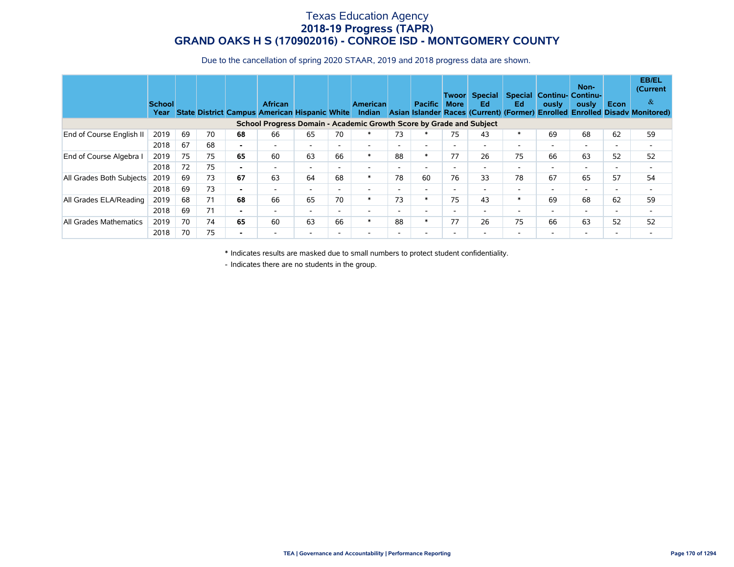#### Texas Education Agency **2018-19 Progress (TAPR) GRAND OAKS H S (170902016) - CONROE ISD - MONTGOMERY COUNTY**

Due to the cancellation of spring 2020 STAAR, 2019 and 2018 progress data are shown.

|                          | <b>School</b><br>Year |    |    |    | <b>African</b><br><b>State District Campus American Hispanic White</b> |                          |                          | <b>American</b><br>Indian |                          | <b>Pacific</b>           | <b>Twoor</b><br><b>More</b> | <b>Special</b><br>Ed. | Ed                       | Special Continu- Continu-<br>ously | Non-<br>ously            | Econ                     | <b>EB/EL</b><br>(Current<br>$\alpha$<br>Asian Islander Races (Current) (Former) Enrolled Enrolled Disady Monitored) |
|--------------------------|-----------------------|----|----|----|------------------------------------------------------------------------|--------------------------|--------------------------|---------------------------|--------------------------|--------------------------|-----------------------------|-----------------------|--------------------------|------------------------------------|--------------------------|--------------------------|---------------------------------------------------------------------------------------------------------------------|
|                          |                       |    |    |    | School Progress Domain - Academic Growth Score by Grade and Subject    |                          |                          |                           |                          |                          |                             |                       |                          |                                    |                          |                          |                                                                                                                     |
| End of Course English II | 2019                  | 69 | 70 | 68 | 66                                                                     | 65                       | 70                       | $\ast$                    | 73                       |                          | 75                          | 43                    | $\ast$                   | 69                                 | 68                       | 62                       | 59                                                                                                                  |
|                          | 2018                  | 67 | 68 |    |                                                                        | $\overline{\phantom{a}}$ |                          |                           | $\overline{\phantom{a}}$ |                          | $\overline{\phantom{a}}$    |                       |                          | $\overline{\phantom{a}}$           | $\overline{\phantom{a}}$ | $\overline{\phantom{0}}$ |                                                                                                                     |
| End of Course Algebra I  | 2019                  | 75 | 75 | 65 | 60                                                                     | 63                       | 66                       | $\ast$                    | 88                       | $\ast$                   | 77                          | 26                    | 75                       | 66                                 | 63                       | 52                       | 52                                                                                                                  |
|                          | 2018                  | 72 | 75 |    |                                                                        | $\overline{\phantom{a}}$ | $\overline{\phantom{0}}$ |                           | $\overline{\phantom{0}}$ | $\overline{\phantom{a}}$ | $\overline{\phantom{a}}$    |                       |                          | $\overline{\phantom{a}}$           | $\overline{\phantom{a}}$ | $\overline{\phantom{0}}$ |                                                                                                                     |
| All Grades Both Subjects | 2019                  | 69 | 73 | 67 | 63                                                                     | 64                       | 68                       | $\ast$                    | 78                       | 60                       | 76                          | 33                    | 78                       | 67                                 | 65                       | 57                       | 54                                                                                                                  |
|                          | 2018                  | 69 | 73 |    | $\overline{\phantom{a}}$                                               | $\overline{\phantom{a}}$ | $\overline{\phantom{0}}$ | -                         | $\overline{\phantom{0}}$ | $\overline{\phantom{0}}$ | $\overline{\phantom{a}}$    |                       | $\overline{\phantom{a}}$ | $\overline{\phantom{a}}$           | $\overline{\phantom{a}}$ | $\overline{\phantom{0}}$ |                                                                                                                     |
| All Grades ELA/Reading   | 2019                  | 68 | 71 | 68 | 66                                                                     | 65                       | 70                       | *                         | 73                       | ∗                        | 75                          | 43                    | $\ast$                   | 69                                 | 68                       | 62                       | 59                                                                                                                  |
|                          | 2018                  | 69 | 71 | ۰. | $\overline{\phantom{a}}$                                               | $\overline{\phantom{0}}$ | $\overline{\phantom{a}}$ | -                         | $\overline{a}$           | $\overline{\phantom{0}}$ | $\overline{\phantom{a}}$    |                       | $\overline{\phantom{a}}$ | $\overline{\phantom{a}}$           | $\overline{\phantom{0}}$ | $\overline{\phantom{0}}$ |                                                                                                                     |
| All Grades Mathematics   | 2019                  | 70 | 74 | 65 | 60                                                                     | 63                       | 66                       | $\ast$                    | 88                       | $\ast$                   | 77                          | 26                    | 75                       | 66                                 | 63                       | 52                       | 52                                                                                                                  |
|                          | 2018                  | 70 | 75 |    |                                                                        | $\overline{\phantom{0}}$ | $\overline{\phantom{0}}$ |                           | $\overline{\phantom{0}}$ |                          | $\overline{\phantom{a}}$    |                       | $\overline{\phantom{a}}$ | $\overline{\phantom{a}}$           | $\overline{\phantom{0}}$ | $\overline{\phantom{0}}$ |                                                                                                                     |

\* Indicates results are masked due to small numbers to protect student confidentiality.

- Indicates there are no students in the group.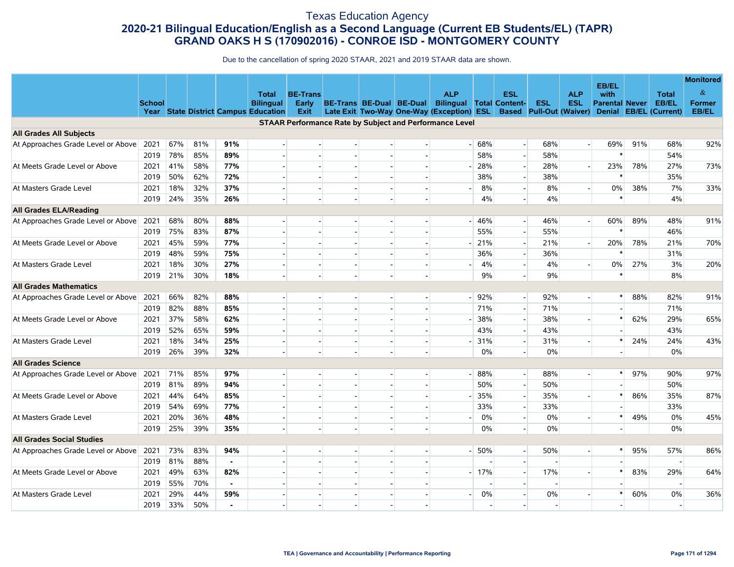# Texas Education Agency **2020-21 Bilingual Education/English as a Second Language (Current EB Students/EL) (TAPR) GRAND OAKS H S (170902016) - CONROE ISD - MONTGOMERY COUNTY**

Due to the cancellation of spring 2020 STAAR, 2021 and 2019 STAAR data are shown.

|                                    |               |     |     |                |                                             |                          |                          |                |                                                                |         |                          |            |                                |                       |     |                          | <b>Monitored</b> |
|------------------------------------|---------------|-----|-----|----------------|---------------------------------------------|--------------------------|--------------------------|----------------|----------------------------------------------------------------|---------|--------------------------|------------|--------------------------------|-----------------------|-----|--------------------------|------------------|
|                                    |               |     |     |                | <b>Total</b>                                | <b>BE-Trans</b>          |                          |                | <b>ALP</b>                                                     |         | <b>ESL</b>               |            | <b>ALP</b>                     | EB/EL<br>with         |     | <b>Total</b>             | $\&$             |
|                                    | <b>School</b> |     |     |                | <b>Bilingual</b>                            | <b>Early</b>             | BE-Trans BE-Dual BE-Dual |                | <b>Bilingual   Total Content-</b>                              |         |                          | <b>ESL</b> | <b>ESL</b>                     | <b>Parental Never</b> |     | <b>EB/EL</b>             | <b>Former</b>    |
|                                    |               |     |     |                | <b>Year State District Campus Education</b> | Exit                     |                          |                | Late Exit Two-Way One-Way (Exception) ESL                      |         |                          |            | <b>Based Pull-Out (Waiver)</b> | <b>Denial</b>         |     | <b>EB/EL (Current)</b>   | EB/EL            |
|                                    |               |     |     |                |                                             |                          |                          |                | <b>STAAR Performance Rate by Subject and Performance Level</b> |         |                          |            |                                |                       |     |                          |                  |
| <b>All Grades All Subjects</b>     |               |     |     |                |                                             |                          |                          |                |                                                                |         |                          |            |                                |                       |     |                          |                  |
| At Approaches Grade Level or Above | 2021          | 67% | 81% | 91%            | $\overline{\phantom{a}}$                    | $\sim$                   |                          |                |                                                                | $- 68%$ | $\overline{\phantom{a}}$ | 68%        | $\overline{\phantom{a}}$       | 69%                   | 91% | 68%                      | 92%              |
|                                    | 2019          | 78% | 85% | 89%            | $\overline{a}$                              |                          |                          |                |                                                                | 58%     |                          | 58%        |                                |                       |     | 54%                      |                  |
| At Meets Grade Level or Above      | 2021          | 41% | 58% | 77%            | $\overline{\phantom{a}}$                    | $\overline{a}$           |                          |                |                                                                | 28%     | $\blacksquare$           | 28%        |                                | 23%                   | 78% | 27%                      | 73%              |
|                                    | 2019          | 50% | 62% | 72%            | $\overline{\phantom{a}}$                    |                          |                          |                |                                                                | 38%     | $\overline{\phantom{a}}$ | 38%        |                                |                       |     | 35%                      |                  |
| At Masters Grade Level             | 2021          | 18% | 32% | 37%            | $\overline{\phantom{a}}$                    |                          |                          |                |                                                                | 8%      |                          | 8%         |                                | $0\%$                 | 38% | 7%                       | 33%              |
|                                    | 2019          | 24% | 35% | 26%            | $\overline{\phantom{a}}$                    |                          |                          |                |                                                                | 4%      |                          | 4%         |                                |                       |     | 4%                       |                  |
| <b>All Grades ELA/Reading</b>      |               |     |     |                |                                             |                          |                          |                |                                                                |         |                          |            |                                |                       |     |                          |                  |
| At Approaches Grade Level or Above | 2021          | 68% | 80% | 88%            | $\overline{\phantom{a}}$                    | $\overline{\phantom{a}}$ |                          |                |                                                                | $-46%$  | $\overline{\phantom{a}}$ | 46%        | $\overline{\phantom{a}}$       | 60%                   | 89% | 48%                      | 91%              |
|                                    | 2019          | 75% | 83% | 87%            | $\overline{\phantom{a}}$                    |                          |                          |                |                                                                | 55%     |                          | 55%        |                                | $\ast$                |     | 46%                      |                  |
| At Meets Grade Level or Above      | 2021          | 45% | 59% | 77%            | $\blacksquare$                              |                          |                          |                |                                                                | 21%     | $\overline{\phantom{a}}$ | 21%        |                                | 20%                   | 78% | 21%                      | 70%              |
|                                    | 2019          | 48% | 59% | 75%            | $\blacksquare$                              | н.                       |                          |                |                                                                | 36%     | $\overline{a}$           | 36%        |                                | $\ast$                |     | 31%                      |                  |
| At Masters Grade Level             | 2021          | 18% | 30% | 27%            | $\overline{\phantom{a}}$                    |                          |                          |                |                                                                | 4%      |                          | 4%         |                                | 0%                    | 27% | 3%                       | 20%              |
|                                    | 2019          | 21% | 30% | 18%            | $\overline{\phantom{a}}$                    |                          |                          |                |                                                                | 9%      |                          | 9%         |                                |                       |     | 8%                       |                  |
| <b>All Grades Mathematics</b>      |               |     |     |                |                                             |                          |                          |                |                                                                |         |                          |            |                                |                       |     |                          |                  |
| At Approaches Grade Level or Above | 2021          | 66% | 82% | 88%            | $\overline{\phantom{a}}$                    | $\blacksquare$           |                          |                |                                                                | $-$ 92% | $\blacksquare$           | 92%        |                                |                       | 88% | 82%                      | 91%              |
|                                    | 2019          | 82% | 88% | 85%            | $\blacksquare$                              |                          |                          |                |                                                                | 71%     |                          | 71%        |                                |                       |     | 71%                      |                  |
| At Meets Grade Level or Above      | 2021          | 37% | 58% | 62%            | $\overline{\phantom{a}}$                    | $\overline{a}$           | $\overline{a}$           |                |                                                                | 38%     | $\overline{\phantom{a}}$ | 38%        |                                | $\ast$                | 62% | 29%                      | 65%              |
|                                    | 2019          | 52% | 65% | 59%            | $\blacksquare$                              |                          |                          |                |                                                                | 43%     | $\blacksquare$           | 43%        |                                |                       |     | 43%                      |                  |
| At Masters Grade Level             | 2021          | 18% | 34% | 25%            | $\overline{\phantom{a}}$                    |                          |                          |                |                                                                | 31%     | $\overline{\phantom{a}}$ | 31%        |                                |                       | 24% | 24%                      | 43%              |
|                                    | 2019          | 26% | 39% | 32%            | $\overline{a}$                              |                          |                          |                |                                                                | 0%      |                          | 0%         |                                |                       |     | 0%                       |                  |
| <b>All Grades Science</b>          |               |     |     |                |                                             |                          |                          |                |                                                                |         |                          |            |                                |                       |     |                          |                  |
| At Approaches Grade Level or Above | 2021          | 71% | 85% | 97%            | $\blacksquare$                              | $\overline{a}$           |                          |                |                                                                | $-88%$  | $\overline{\phantom{a}}$ | 88%        | $\overline{\phantom{a}}$       | $\ast$                | 97% | 90%                      | 97%              |
|                                    | 2019          | 81% | 89% | 94%            | $\blacksquare$                              |                          |                          |                |                                                                | 50%     |                          | 50%        |                                |                       |     | 50%                      |                  |
| At Meets Grade Level or Above      | 2021          | 44% | 64% | 85%            | $\blacksquare$                              |                          |                          |                |                                                                | 35%     |                          | 35%        |                                |                       | 86% | 35%                      | 87%              |
|                                    | 2019          | 54% | 69% | 77%            | $\overline{\phantom{a}}$                    | $\overline{a}$           |                          |                |                                                                | 33%     |                          | 33%        |                                |                       |     | 33%                      |                  |
| At Masters Grade Level             | 2021          | 20% | 36% | 48%            | $\blacksquare$                              | $\overline{a}$           |                          |                | $\overline{\phantom{a}}$                                       | 0%      |                          | 0%         |                                |                       | 49% | $0\%$                    | 45%              |
|                                    | 2019          | 25% | 39% | 35%            | $\blacksquare$                              |                          |                          |                |                                                                | 0%      |                          | $0\%$      |                                |                       |     | 0%                       |                  |
| <b>All Grades Social Studies</b>   |               |     |     |                |                                             |                          |                          |                |                                                                |         |                          |            |                                |                       |     |                          |                  |
| At Approaches Grade Level or Above | 2021          | 73% | 83% | 94%            | $\overline{\phantom{a}}$                    | $\overline{a}$           |                          | $\overline{a}$ |                                                                | $- 50%$ | $\overline{a}$           | 50%        | $\overline{a}$                 | $\ast$                | 95% | 57%                      | 86%              |
|                                    | 2019          | 81% | 88% | $\blacksquare$ | $\overline{\phantom{a}}$                    | $\overline{a}$           |                          |                |                                                                |         |                          |            |                                |                       |     | $\overline{\phantom{a}}$ |                  |
| At Meets Grade Level or Above      | 2021          | 49% | 63% | 82%            | $\overline{\phantom{a}}$                    |                          |                          |                |                                                                | $-17%$  |                          | 17%        |                                | $\ast$                | 83% | 29%                      | 64%              |
|                                    | 2019          | 55% | 70% | $\blacksquare$ | $\blacksquare$                              |                          |                          |                |                                                                |         |                          |            |                                |                       |     |                          |                  |
| At Masters Grade Level             | 2021          | 29% | 44% | 59%            | $\overline{\phantom{a}}$                    | $\overline{\phantom{a}}$ |                          |                |                                                                | 0%      |                          | $0\%$      |                                |                       | 60% | 0%                       | 36%              |
|                                    | 2019          | 33% | 50% |                |                                             |                          |                          |                |                                                                |         |                          |            |                                |                       |     |                          |                  |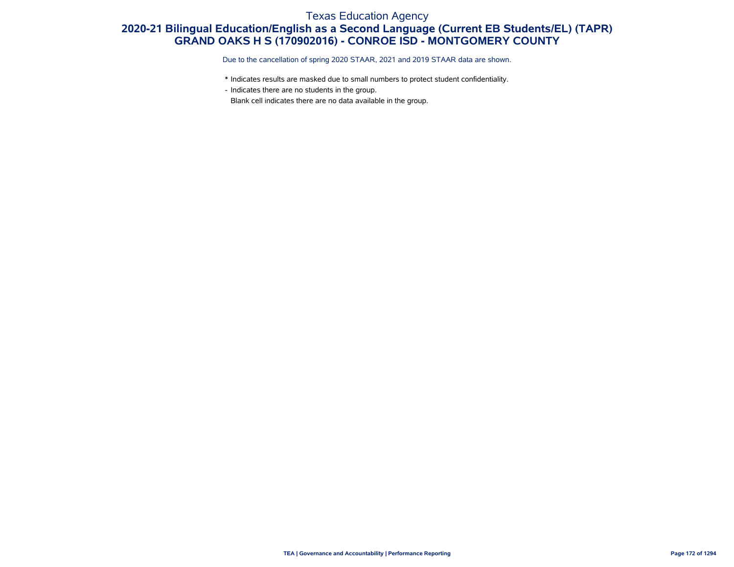# Texas Education Agency

# **2020-21 Bilingual Education/English as a Second Language (Current EB Students/EL) (TAPR) GRAND OAKS H S (170902016) - CONROE ISD - MONTGOMERY COUNTY**

Due to the cancellation of spring 2020 STAAR, 2021 and 2019 STAAR data are shown.

- \* Indicates results are masked due to small numbers to protect student confidentiality.
- Indicates there are no students in the group.

Blank cell indicates there are no data available in the group.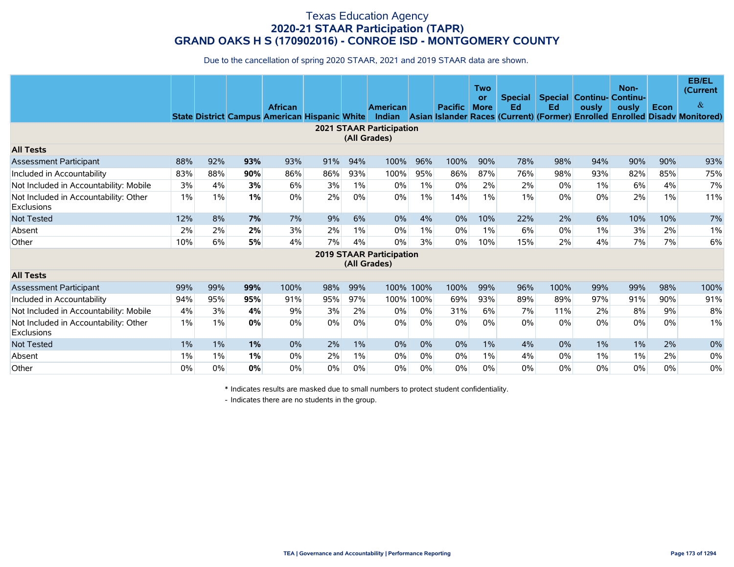# Texas Education Agency **2020-21 STAAR Participation (TAPR) GRAND OAKS H S (170902016) - CONROE ISD - MONTGOMERY COUNTY**

Due to the cancellation of spring 2020 STAAR, 2021 and 2019 STAAR data are shown.

|                                                            |     |       |     | <b>African</b><br><b>State District Campus American Hispanic White</b> |     |       | <b>American</b>                                 |           | <b>Pacific</b> | <b>Two</b><br>or<br><b>More</b> | <b>Special</b><br>Ed | Ed    | <b>Special Continu- Continu-</b><br>ously | Non-<br>ously | Econ  | <b>EB/EL</b><br>(Current<br>$\&$<br>Indian Asian Islander Races (Current) (Former) Enrolled Enrolled Disady Monitored) |
|------------------------------------------------------------|-----|-------|-----|------------------------------------------------------------------------|-----|-------|-------------------------------------------------|-----------|----------------|---------------------------------|----------------------|-------|-------------------------------------------|---------------|-------|------------------------------------------------------------------------------------------------------------------------|
|                                                            |     |       |     |                                                                        |     |       | 2021 STAAR Participation<br>(All Grades)        |           |                |                                 |                      |       |                                           |               |       |                                                                                                                        |
| <b>All Tests</b>                                           |     |       |     |                                                                        |     |       |                                                 |           |                |                                 |                      |       |                                           |               |       |                                                                                                                        |
| <b>Assessment Participant</b>                              | 88% | 92%   | 93% | 93%                                                                    | 91% | 94%   | 100%                                            | 96%       | 100%           | 90%                             | 78%                  | 98%   | 94%                                       | 90%           | 90%   | 93%                                                                                                                    |
| Included in Accountability                                 | 83% | 88%   | 90% | 86%                                                                    | 86% | 93%   | 100%                                            | 95%       | 86%            | 87%                             | 76%                  | 98%   | 93%                                       | 82%           | 85%   | 75%                                                                                                                    |
| Not Included in Accountability: Mobile                     | 3%  | 4%    | 3%  | 6%                                                                     | 3%  | 1%    | 0%                                              | 1%        | $0\%$          | 2%                              | 2%                   | 0%    | $1\%$                                     | 6%            | 4%    | 7%                                                                                                                     |
| Not Included in Accountability: Other<br><b>Exclusions</b> | 1%  | 1%    | 1%  | 0%                                                                     | 2%  | 0%    | $0\%$                                           | 1%        | 14%            | 1%                              | $1\%$                | 0%    | 0%                                        | 2%            | $1\%$ | 11%                                                                                                                    |
| <b>Not Tested</b>                                          | 12% | 8%    | 7%  | 7%                                                                     | 9%  | 6%    | 0%                                              | 4%        | 0%             | 10%                             | 22%                  | 2%    | 6%                                        | 10%           | 10%   | 7%                                                                                                                     |
| Absent                                                     | 2%  | 2%    | 2%  | 3%                                                                     | 2%  | 1%    | $0\%$                                           | 1%        | $0\%$          | 1%                              | 6%                   | $0\%$ | 1%                                        | 3%            | 2%    | 1%                                                                                                                     |
| Other                                                      | 10% | 6%    | 5%  | 4%                                                                     | 7%  | 4%    | $0\%$                                           | 3%        | $0\%$          | 10%                             | 15%                  | 2%    | 4%                                        | 7%            | 7%    | 6%                                                                                                                     |
|                                                            |     |       |     |                                                                        |     |       | <b>2019 STAAR Participation</b><br>(All Grades) |           |                |                                 |                      |       |                                           |               |       |                                                                                                                        |
| <b>All Tests</b>                                           |     |       |     |                                                                        |     |       |                                                 |           |                |                                 |                      |       |                                           |               |       |                                                                                                                        |
| Assessment Participant                                     | 99% | 99%   | 99% | 100%                                                                   | 98% | 99%   |                                                 | 100% 100% | 100%           | 99%                             | 96%                  | 100%  | 99%                                       | 99%           | 98%   | 100%                                                                                                                   |
| Included in Accountability                                 | 94% | 95%   | 95% | 91%                                                                    | 95% | 97%   |                                                 | 100% 100% | 69%            | 93%                             | 89%                  | 89%   | 97%                                       | 91%           | 90%   | 91%                                                                                                                    |
| Not Included in Accountability: Mobile                     | 4%  | 3%    | 4%  | 9%                                                                     | 3%  | 2%    | 0%                                              | 0%        | 31%            | 6%                              | 7%                   | 11%   | 2%                                        | 8%            | 9%    | 8%                                                                                                                     |
| Not Included in Accountability: Other<br><b>Exclusions</b> | 1%  | 1%    | 0%  | 0%                                                                     | 0%  | 0%    | $0\%$                                           | 0%        | $0\%$          | 0%                              | $0\%$                | 0%    | 0%                                        | $0\%$         | 0%    | 1%                                                                                                                     |
| <b>Not Tested</b>                                          | 1%  | $1\%$ | 1%  | 0%                                                                     | 2%  | $1\%$ | 0%                                              | 0%        | 0%             | $1\%$                           | 4%                   | 0%    | $1\%$                                     | 1%            | 2%    | 0%                                                                                                                     |
| Absent                                                     | 1%  | 1%    | 1%  | 0%                                                                     | 2%  | 1%    | 0%                                              | $0\%$     | 0%             | 1%                              | 4%                   | $0\%$ | 1%                                        | $1\%$         | 2%    | 0%                                                                                                                     |
| Other                                                      | 0%  | 0%    | 0%  | 0%                                                                     | 0%  | 0%    | 0%                                              | 0%        | $0\%$          | 0%                              | 0%                   | $0\%$ | 0%                                        | 0%            | 0%    | 0%                                                                                                                     |

\* Indicates results are masked due to small numbers to protect student confidentiality.

- Indicates there are no students in the group.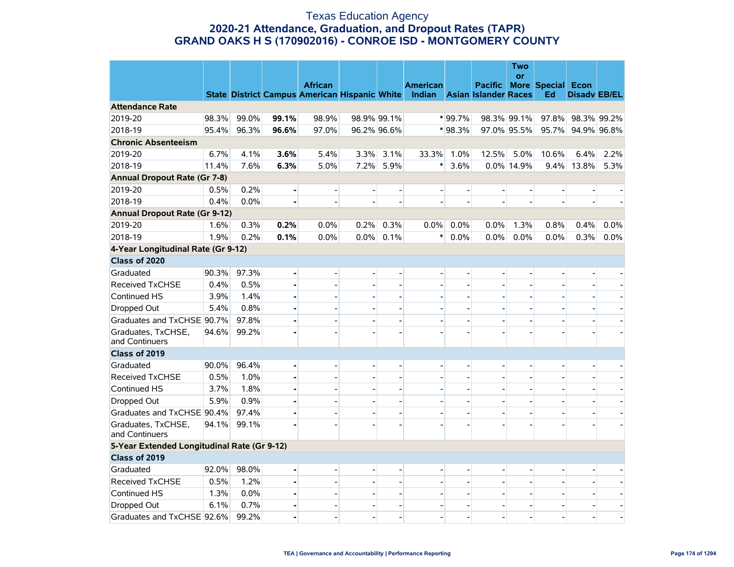#### Texas Education Agency **2020-21 Attendance, Graduation, and Dropout Rates (TAPR) GRAND OAKS H S (170902016) - CONROE ISD - MONTGOMERY COUNTY**

|                                             |       |       |       |                                                                        |                |                          |                                                |                |                | <b>Two</b><br><b>or</b> |                                |                          |      |
|---------------------------------------------|-------|-------|-------|------------------------------------------------------------------------|----------------|--------------------------|------------------------------------------------|----------------|----------------|-------------------------|--------------------------------|--------------------------|------|
|                                             |       |       |       | <b>African</b><br><b>State District Campus American Hispanic White</b> |                |                          | <b>American</b><br>Indian Asian Islander Races |                | <b>Pacific</b> |                         | <b>More Special Econ</b><br>Ed | <b>Disady EB/EL</b>      |      |
| <b>Attendance Rate</b>                      |       |       |       |                                                                        |                |                          |                                                |                |                |                         |                                |                          |      |
| 2019-20                                     | 98.3% | 99.0% | 99.1% | 98.9%                                                                  |                | 98.9% 99.1%              |                                                | $*99.7%$       |                | 98.3% 99.1%             | 97.8%                          | 98.3% 99.2%              |      |
| 2018-19                                     | 95.4% | 96.3% | 96.6% | 97.0%                                                                  |                | 96.2% 96.6%              |                                                | $*98.3%$       |                | 97.0% 95.5%             |                                | 95.7% 94.9% 96.8%        |      |
| <b>Chronic Absenteeism</b>                  |       |       |       |                                                                        |                |                          |                                                |                |                |                         |                                |                          |      |
| 2019-20                                     | 6.7%  | 4.1%  | 3.6%  | 5.4%                                                                   | 3.3%           | 3.1%                     | 33.3%                                          | 1.0%           | 12.5%          | 5.0%                    | 10.6%                          | 6.4%                     | 2.2% |
| 2018-19                                     | 11.4% | 7.6%  | 6.3%  | 5.0%                                                                   | 7.2%           | 5.9%                     | $\ast$                                         | 3.6%           |                | 0.0% 14.9%              | 9.4%                           | 13.8%                    | 5.3% |
| <b>Annual Dropout Rate (Gr 7-8)</b>         |       |       |       |                                                                        |                |                          |                                                |                |                |                         |                                |                          |      |
| 2019-20                                     | 0.5%  | 0.2%  |       |                                                                        |                |                          |                                                |                |                |                         |                                |                          |      |
| 2018-19                                     | 0.4%  | 0.0%  |       |                                                                        |                | $\overline{a}$           |                                                |                |                |                         |                                |                          |      |
| <b>Annual Dropout Rate (Gr 9-12)</b>        |       |       |       |                                                                        |                |                          |                                                |                |                |                         |                                |                          |      |
| 2019-20                                     | 1.6%  | 0.3%  | 0.2%  | 0.0%                                                                   | 0.2%           | 0.3%                     | $0.0\%$                                        | $0.0\%$        | 0.0%           | 1.3%                    | 0.8%                           | 0.4%                     | 0.0% |
| 2018-19                                     | 1.9%  | 0.2%  | 0.1%  | 0.0%                                                                   | 0.0%           | 0.1%                     | $\ast$                                         | 0.0%           | 0.0%           | 0.0%                    | 0.0%                           | 0.3%                     | 0.0% |
| 4-Year Longitudinal Rate (Gr 9-12)          |       |       |       |                                                                        |                |                          |                                                |                |                |                         |                                |                          |      |
| Class of 2020                               |       |       |       |                                                                        |                |                          |                                                |                |                |                         |                                |                          |      |
| Graduated                                   | 90.3% | 97.3% |       |                                                                        | $\overline{a}$ | $\overline{a}$           | $\blacksquare$                                 |                |                |                         |                                |                          |      |
| <b>Received TxCHSE</b>                      | 0.4%  | 0.5%  |       |                                                                        |                |                          |                                                |                |                |                         |                                |                          |      |
| Continued HS                                | 3.9%  | 1.4%  |       |                                                                        |                |                          |                                                |                |                |                         |                                |                          |      |
| Dropped Out                                 | 5.4%  | 0.8%  |       |                                                                        |                |                          |                                                |                |                |                         |                                |                          |      |
| Graduates and TxCHSE 90.7%                  |       | 97.8% |       |                                                                        |                |                          |                                                |                |                |                         |                                |                          |      |
| Graduates, TxCHSE,<br>and Continuers        | 94.6% | 99.2% |       |                                                                        |                |                          |                                                |                |                |                         |                                |                          |      |
| Class of 2019                               |       |       |       |                                                                        |                |                          |                                                |                |                |                         |                                |                          |      |
| Graduated                                   | 90.0% | 96.4% |       |                                                                        |                | $\overline{a}$           | $\blacksquare$                                 | $\overline{a}$ |                |                         |                                |                          |      |
| <b>Received TxCHSE</b>                      | 0.5%  | 1.0%  |       |                                                                        | $\overline{a}$ | $\overline{\phantom{a}}$ | $\blacksquare$                                 | $\overline{a}$ |                |                         |                                | $\overline{\phantom{a}}$ |      |
| Continued HS                                | 3.7%  | 1.8%  |       |                                                                        |                |                          |                                                |                |                |                         | $\overline{a}$                 |                          |      |
| Dropped Out                                 | 5.9%  | 0.9%  |       |                                                                        |                |                          |                                                |                |                |                         |                                |                          |      |
| Graduates and TxCHSE 90.4%                  |       | 97.4% |       |                                                                        |                |                          |                                                |                |                |                         |                                |                          |      |
| Graduates, TxCHSE,<br>and Continuers        | 94.1% | 99.1% |       |                                                                        |                |                          |                                                |                |                |                         |                                |                          |      |
| 5-Year Extended Longitudinal Rate (Gr 9-12) |       |       |       |                                                                        |                |                          |                                                |                |                |                         |                                |                          |      |
| Class of 2019                               |       |       |       |                                                                        |                |                          |                                                |                |                |                         |                                |                          |      |
| Graduated                                   | 92.0% | 98.0% |       |                                                                        |                | $\overline{a}$           |                                                |                |                |                         |                                |                          |      |
| <b>Received TxCHSE</b>                      | 0.5%  | 1.2%  |       |                                                                        |                |                          |                                                |                |                |                         |                                |                          |      |
| Continued HS                                | 1.3%  | 0.0%  |       |                                                                        |                |                          |                                                |                |                |                         |                                |                          |      |
| Dropped Out                                 | 6.1%  | 0.7%  |       |                                                                        |                | $\overline{\phantom{a}}$ | $\overline{a}$                                 |                |                |                         |                                |                          |      |
| Graduates and TxCHSE 92.6%                  |       | 99.2% |       |                                                                        |                | $\overline{a}$           |                                                | $\overline{a}$ |                |                         |                                |                          |      |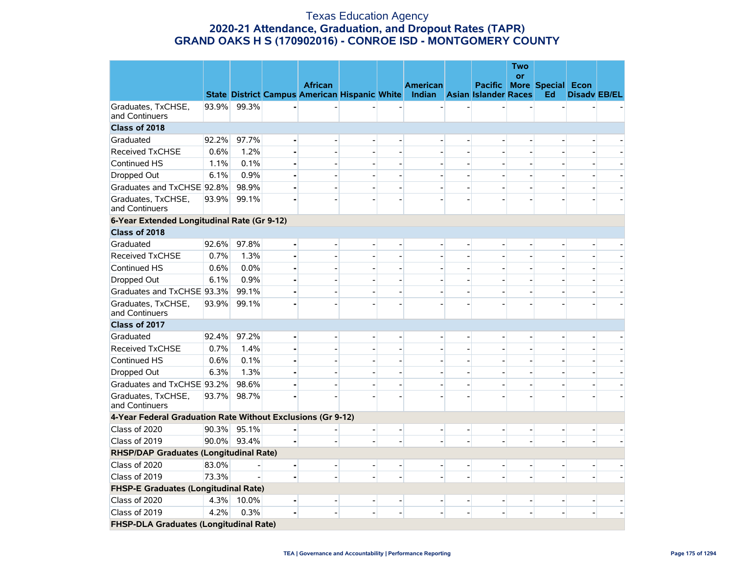#### Texas Education Agency **2020-21 Attendance, Graduation, and Dropout Rates (TAPR) GRAND OAKS H S (170902016) - CONROE ISD - MONTGOMERY COUNTY**

|                                                             |       |             |    |                                                      |                          |                |                             |                | <b>Two</b><br><b>or</b> |                          |                     |        |
|-------------------------------------------------------------|-------|-------------|----|------------------------------------------------------|--------------------------|----------------|-----------------------------|----------------|-------------------------|--------------------------|---------------------|--------|
|                                                             |       |             |    | <b>African</b>                                       |                          |                | <b>American</b>             | <b>Pacific</b> |                         | <b>More Special Econ</b> |                     |        |
|                                                             |       |             |    | <b>State District Campus American Hispanic White</b> |                          |                | Indian Asian Islander Races |                |                         | Ed                       | <b>Disady EB/EL</b> |        |
| Graduates, TxCHSE,<br>and Continuers                        | 93.9% | 99.3%       |    |                                                      |                          |                |                             |                |                         |                          |                     |        |
| Class of 2018                                               |       |             |    |                                                      |                          |                |                             |                |                         |                          |                     |        |
| Graduated                                                   | 92.2% | 97.7%       |    |                                                      |                          |                |                             |                |                         |                          |                     |        |
| <b>Received TxCHSE</b>                                      | 0.6%  | 1.2%        |    |                                                      |                          |                |                             |                |                         |                          |                     |        |
| Continued HS                                                | 1.1%  | 0.1%        |    |                                                      |                          |                |                             |                |                         |                          |                     |        |
| Dropped Out                                                 | 6.1%  | 0.9%        | ä, |                                                      | $\overline{\phantom{0}}$ |                |                             |                |                         | $\overline{\phantom{0}}$ |                     |        |
| Graduates and TxCHSE 92.8%                                  |       | 98.9%       |    |                                                      |                          |                |                             |                |                         |                          |                     |        |
| Graduates, TxCHSE,<br>and Continuers                        | 93.9% | 99.1%       |    |                                                      |                          |                |                             |                |                         |                          |                     |        |
| 6-Year Extended Longitudinal Rate (Gr 9-12)                 |       |             |    |                                                      |                          |                |                             |                |                         |                          |                     |        |
| Class of 2018                                               |       |             |    |                                                      |                          |                |                             |                |                         |                          |                     |        |
| Graduated                                                   | 92.6% | 97.8%       |    |                                                      |                          |                |                             |                |                         |                          |                     |        |
| <b>Received TxCHSE</b>                                      | 0.7%  | 1.3%        |    |                                                      |                          |                |                             |                |                         |                          |                     |        |
| Continued HS                                                | 0.6%  | 0.0%        |    |                                                      |                          |                |                             |                |                         |                          |                     |        |
| Dropped Out                                                 | 6.1%  | 0.9%        |    |                                                      |                          |                |                             |                |                         |                          |                     |        |
| Graduates and TxCHSE 93.3%                                  |       | 99.1%       |    |                                                      |                          |                |                             |                |                         |                          |                     |        |
| Graduates, TxCHSE,<br>and Continuers                        | 93.9% | 99.1%       |    |                                                      |                          |                |                             |                |                         |                          |                     |        |
| Class of 2017                                               |       |             |    |                                                      |                          |                |                             |                |                         |                          |                     |        |
| Graduated                                                   | 92.4% | 97.2%       |    |                                                      | $\overline{a}$           |                |                             |                |                         |                          |                     |        |
| <b>Received TxCHSE</b>                                      | 0.7%  | 1.4%        |    |                                                      |                          |                |                             |                |                         |                          |                     |        |
| Continued HS                                                | 0.6%  | 0.1%        |    |                                                      | $\overline{\phantom{a}}$ |                |                             |                |                         | $\overline{\phantom{0}}$ |                     | $\sim$ |
| Dropped Out                                                 | 6.3%  | 1.3%        |    |                                                      |                          |                |                             |                |                         |                          |                     |        |
| Graduates and TxCHSE 93.2%                                  |       | 98.6%       |    |                                                      |                          |                |                             |                |                         |                          |                     |        |
| Graduates, TxCHSE,<br>and Continuers                        | 93.7% | 98.7%       |    |                                                      |                          |                |                             |                |                         |                          |                     |        |
| 4-Year Federal Graduation Rate Without Exclusions (Gr 9-12) |       |             |    |                                                      |                          |                |                             |                |                         |                          |                     |        |
| Class of 2020                                               |       | 90.3% 95.1% |    |                                                      | $\overline{\phantom{a}}$ |                | $\overline{\phantom{a}}$    |                |                         | $\overline{\phantom{a}}$ |                     |        |
| Class of 2019                                               |       | 90.0% 93.4% |    |                                                      |                          |                |                             |                |                         |                          |                     |        |
| RHSP/DAP Graduates (Longitudinal Rate)                      |       |             |    |                                                      |                          |                |                             |                |                         |                          |                     |        |
| Class of 2020                                               | 83.0% |             |    |                                                      | $\overline{a}$           |                |                             |                |                         | $\overline{a}$           |                     |        |
| Class of 2019                                               | 73.3% |             |    |                                                      | $\overline{a}$           | $\overline{a}$ | $\overline{a}$              |                |                         | $\overline{a}$           | $\overline{a}$      |        |
| <b>FHSP-E Graduates (Longitudinal Rate)</b>                 |       |             |    |                                                      |                          |                |                             |                |                         |                          |                     |        |
| Class of 2020                                               | 4.3%  | 10.0%       |    |                                                      |                          |                |                             |                |                         |                          |                     |        |
| Class of 2019                                               | 4.2%  | 0.3%        |    |                                                      |                          |                |                             |                |                         |                          |                     |        |
| <b>FHSP-DLA Graduates (Longitudinal Rate)</b>               |       |             |    |                                                      |                          |                |                             |                |                         |                          |                     |        |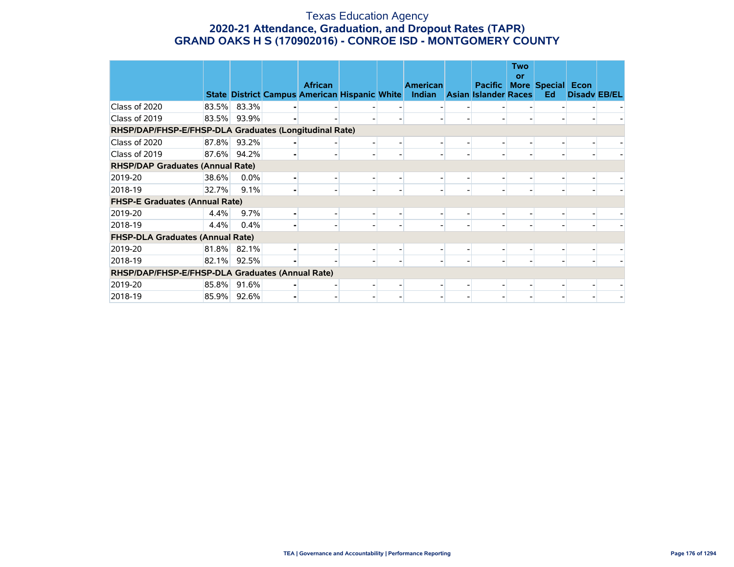#### Texas Education Agency **2020-21 Attendance, Graduation, and Dropout Rates (TAPR) GRAND OAKS H S (170902016) - CONROE ISD - MONTGOMERY COUNTY**

|                                                        |       |         |                                                                        |                          |                                  |                                        | <b>Two</b><br>or |                                |                     |  |
|--------------------------------------------------------|-------|---------|------------------------------------------------------------------------|--------------------------|----------------------------------|----------------------------------------|------------------|--------------------------------|---------------------|--|
|                                                        |       |         | <b>African</b><br><b>State District Campus American Hispanic White</b> |                          | <b>American</b><br><b>Indian</b> | <b>Pacific</b><br>Asian Islander Races |                  | <b>More Special Econ</b><br>Ed | <b>Disady EB/EL</b> |  |
| Class of 2020                                          | 83.5% | 83.3%   |                                                                        |                          |                                  |                                        |                  |                                |                     |  |
| Class of 2019                                          | 83.5% | 93.9%   |                                                                        |                          |                                  |                                        |                  |                                |                     |  |
| RHSP/DAP/FHSP-E/FHSP-DLA Graduates (Longitudinal Rate) |       |         |                                                                        |                          |                                  |                                        |                  |                                |                     |  |
| Class of 2020                                          | 87.8% | 93.2%   |                                                                        |                          |                                  |                                        |                  |                                |                     |  |
| Class of 2019                                          | 87.6% | 94.2%   |                                                                        | $\overline{\phantom{0}}$ |                                  |                                        |                  |                                |                     |  |
| <b>RHSP/DAP Graduates (Annual Rate)</b>                |       |         |                                                                        |                          |                                  |                                        |                  |                                |                     |  |
| 2019-20                                                | 38.6% | $0.0\%$ |                                                                        |                          |                                  |                                        |                  |                                |                     |  |
| 2018-19                                                | 32.7% | 9.1%    |                                                                        | $\overline{\phantom{a}}$ |                                  |                                        |                  |                                |                     |  |
| <b>FHSP-E Graduates (Annual Rate)</b>                  |       |         |                                                                        |                          |                                  |                                        |                  |                                |                     |  |
| 2019-20                                                | 4.4%  | 9.7%    |                                                                        |                          |                                  |                                        |                  |                                |                     |  |
| 2018-19                                                | 4.4%  | 0.4%    |                                                                        | $\overline{\phantom{0}}$ |                                  |                                        |                  |                                |                     |  |
| <b>FHSP-DLA Graduates (Annual Rate)</b>                |       |         |                                                                        |                          |                                  |                                        |                  |                                |                     |  |
| 2019-20                                                | 81.8% | 82.1%   |                                                                        |                          |                                  |                                        |                  |                                |                     |  |
| 2018-19                                                | 82.1% | 92.5%   |                                                                        |                          |                                  |                                        |                  |                                |                     |  |
| RHSP/DAP/FHSP-E/FHSP-DLA Graduates (Annual Rate)       |       |         |                                                                        |                          |                                  |                                        |                  |                                |                     |  |
| 2019-20                                                | 85.8% | 91.6%   |                                                                        |                          |                                  |                                        |                  |                                |                     |  |
| 2018-19                                                | 85.9% | 92.6%   |                                                                        |                          |                                  |                                        |                  |                                |                     |  |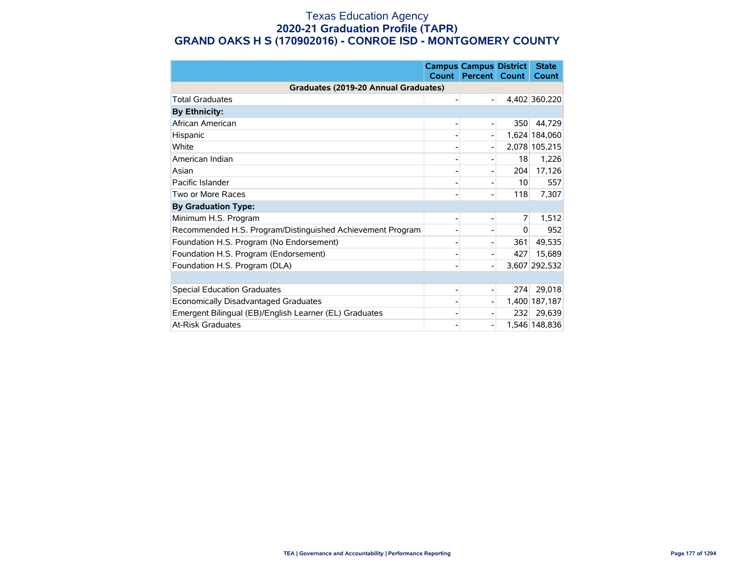#### Texas Education Agency **2020-21 Graduation Profile (TAPR) GRAND OAKS H S (170902016) - CONROE ISD - MONTGOMERY COUNTY**

|                                                            | Count | <b>Campus Campus District</b><br><b>Percent</b> | Count    | <b>State</b><br><b>Count</b> |
|------------------------------------------------------------|-------|-------------------------------------------------|----------|------------------------------|
| Graduates (2019-20 Annual Graduates)                       |       |                                                 |          |                              |
| <b>Total Graduates</b>                                     |       |                                                 |          | 4,402 360,220                |
| <b>By Ethnicity:</b>                                       |       |                                                 |          |                              |
| African American                                           |       |                                                 | 350      | 44,729                       |
| Hispanic                                                   |       |                                                 |          | 1,624 184,060                |
| White                                                      |       |                                                 |          | 2,078 105,215                |
| American Indian                                            |       |                                                 | 18       | 1,226                        |
| Asian                                                      |       |                                                 | 204      | 17,126                       |
| Pacific Islander                                           |       |                                                 | 10       | 557                          |
| Two or More Races                                          |       |                                                 | 118      | 7,307                        |
| <b>By Graduation Type:</b>                                 |       |                                                 |          |                              |
| Minimum H.S. Program                                       |       |                                                 | 7        | 1,512                        |
| Recommended H.S. Program/Distinguished Achievement Program |       |                                                 | $\Omega$ | 952                          |
| Foundation H.S. Program (No Endorsement)                   |       |                                                 | 361      | 49,535                       |
| Foundation H.S. Program (Endorsement)                      |       |                                                 | 427      | 15,689                       |
| Foundation H.S. Program (DLA)                              |       |                                                 |          | 3,607 292,532                |
|                                                            |       |                                                 |          |                              |
| <b>Special Education Graduates</b>                         |       |                                                 | 274      | 29,018                       |
| Economically Disadvantaged Graduates                       |       |                                                 | 1,400    | 187,187                      |
| Emergent Bilingual (EB)/English Learner (EL) Graduates     |       |                                                 | 232      | 29,639                       |
| At-Risk Graduates                                          |       |                                                 |          | 1,546 148,836                |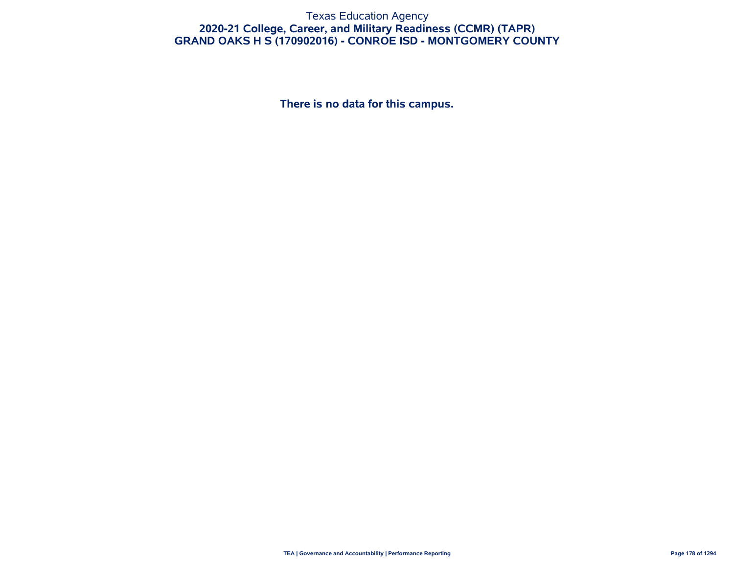### Texas Education Agency **2020-21 College, Career, and Military Readiness (CCMR) (TAPR) GRAND OAKS H S (170902016) - CONROE ISD - MONTGOMERY COUNTY**

**There is no data for this campus.**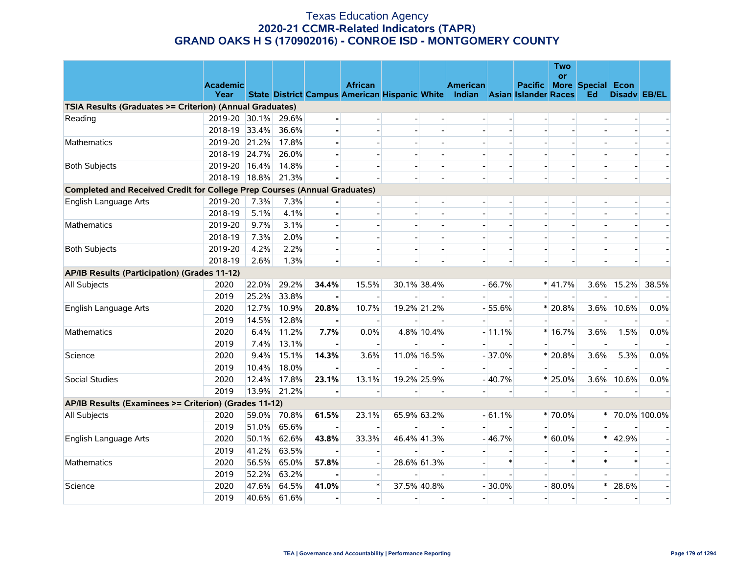#### Texas Education Agency **2020-21 CCMR-Related Indicators (TAPR) GRAND OAKS H S (170902016) - CONROE ISD - MONTGOMERY COUNTY**

|                                                                                  |                 |       |       |       |                |             |                                                                           |          |                | <b>Two</b><br><b>or</b> |                          |                     |              |
|----------------------------------------------------------------------------------|-----------------|-------|-------|-------|----------------|-------------|---------------------------------------------------------------------------|----------|----------------|-------------------------|--------------------------|---------------------|--------------|
|                                                                                  | <b>Academic</b> |       |       |       | <b>African</b> |             | <b>American</b>                                                           |          | <b>Pacific</b> |                         | <b>More Special Econ</b> |                     |              |
|                                                                                  | Year            |       |       |       |                |             | State District Campus American Hispanic White Indian Asian Islander Races |          |                |                         | Ed                       | <b>Disady EB/EL</b> |              |
| TSIA Results (Graduates >= Criterion) (Annual Graduates)                         |                 |       |       |       |                |             |                                                                           |          |                |                         |                          |                     |              |
| Reading                                                                          | 2019-20         | 30.1% | 29.6% |       |                |             |                                                                           |          |                |                         |                          |                     |              |
|                                                                                  | 2018-19         | 33.4% | 36.6% |       |                |             |                                                                           |          |                |                         |                          |                     |              |
| <b>Mathematics</b>                                                               | 2019-20         | 21.2% | 17.8% |       |                |             |                                                                           |          |                |                         |                          |                     |              |
|                                                                                  | 2018-19         | 24.7% | 26.0% |       |                |             |                                                                           |          |                |                         |                          |                     |              |
| <b>Both Subjects</b>                                                             | 2019-20         | 16.4% | 14.8% |       |                |             |                                                                           |          |                |                         |                          |                     |              |
|                                                                                  | 2018-19         | 18.8% | 21.3% |       |                |             |                                                                           |          |                |                         |                          |                     |              |
| <b>Completed and Received Credit for College Prep Courses (Annual Graduates)</b> |                 |       |       |       |                |             |                                                                           |          |                |                         |                          |                     |              |
| English Language Arts                                                            | 2019-20         | 7.3%  | 7.3%  |       |                |             |                                                                           |          |                |                         |                          |                     |              |
|                                                                                  | 2018-19         | 5.1%  | 4.1%  |       |                |             |                                                                           |          |                |                         |                          |                     |              |
| Mathematics                                                                      | 2019-20         | 9.7%  | 3.1%  |       |                |             |                                                                           |          |                |                         |                          |                     |              |
|                                                                                  | 2018-19         | 7.3%  | 2.0%  |       |                |             |                                                                           |          |                |                         |                          |                     |              |
| <b>Both Subjects</b>                                                             | 2019-20         | 4.2%  | 2.2%  |       |                |             |                                                                           |          |                |                         |                          |                     |              |
|                                                                                  | 2018-19         | 2.6%  | 1.3%  |       |                |             |                                                                           |          |                |                         |                          |                     |              |
| AP/IB Results (Participation) (Grades 11-12)                                     |                 |       |       |       |                |             |                                                                           |          |                |                         |                          |                     |              |
| All Subjects                                                                     | 2020            | 22.0% | 29.2% | 34.4% | 15.5%          | 30.1% 38.4% |                                                                           | $-66.7%$ |                | $* 41.7%$               | 3.6%                     | 15.2%               | 38.5%        |
|                                                                                  | 2019            | 25.2% | 33.8% |       |                |             |                                                                           |          |                |                         |                          |                     |              |
| English Language Arts                                                            | 2020            | 12.7% | 10.9% | 20.8% | 10.7%          | 19.2% 21.2% |                                                                           | $-55.6%$ |                | $*$ 20.8%               | 3.6%                     | 10.6%               | 0.0%         |
|                                                                                  | 2019            | 14.5% | 12.8% |       |                |             |                                                                           |          |                |                         |                          |                     |              |
| <b>Mathematics</b>                                                               | 2020            | 6.4%  | 11.2% | 7.7%  | 0.0%           | 4.8% 10.4%  |                                                                           | $-11.1%$ | $^{\ast}$      | 16.7%                   | 3.6%                     | 1.5%                | 0.0%         |
|                                                                                  | 2019            | 7.4%  | 13.1% |       |                |             |                                                                           |          |                |                         |                          |                     |              |
| Science                                                                          | 2020            | 9.4%  | 15.1% | 14.3% | 3.6%           | 11.0% 16.5% |                                                                           | $-37.0%$ |                | $*$ 20.8%               | 3.6%                     | 5.3%                | 0.0%         |
|                                                                                  | 2019            | 10.4% | 18.0% |       |                |             |                                                                           |          |                |                         |                          |                     |              |
| <b>Social Studies</b>                                                            | 2020            | 12.4% | 17.8% | 23.1% | 13.1%          | 19.2% 25.9% |                                                                           | $-40.7%$ | $^{\ast}$      | 25.0%                   | 3.6%                     | 10.6%               | 0.0%         |
|                                                                                  | 2019            | 13.9% | 21.2% |       |                |             |                                                                           |          |                |                         |                          |                     |              |
| AP/IB Results (Examinees >= Criterion) (Grades 11-12)                            |                 |       |       |       |                |             |                                                                           |          |                |                         |                          |                     |              |
| All Subjects                                                                     | 2020            | 59.0% | 70.8% | 61.5% | 23.1%          | 65.9% 63.2% |                                                                           | $-61.1%$ |                | $*$ 70.0%               | $\ast$                   |                     | 70.0% 100.0% |
|                                                                                  | 2019            | 51.0% | 65.6% |       |                |             |                                                                           |          |                |                         |                          |                     |              |
| English Language Arts                                                            | 2020            | 50.1% | 62.6% | 43.8% | 33.3%          | 46.4% 41.3% |                                                                           | $-46.7%$ |                | $* 60.0\%$              | $\ast$                   | 42.9%               |              |
|                                                                                  | 2019            | 41.2% | 63.5% |       |                |             |                                                                           |          |                |                         |                          |                     |              |
| <b>Mathematics</b>                                                               | 2020            | 56.5% | 65.0% | 57.8% |                | 28.6% 61.3% |                                                                           | $\ast$   |                | $\ast$                  | $\ast$                   | $\ast$              |              |
|                                                                                  | 2019            | 52.2% | 63.2% |       |                |             |                                                                           |          |                |                         |                          |                     |              |
| Science                                                                          | 2020            | 47.6% | 64.5% | 41.0% |                | 37.5% 40.8% |                                                                           | $-30.0%$ | - 1            | 80.0%                   | $\ast$                   | 28.6%               |              |
|                                                                                  | 2019            | 40.6% | 61.6% |       |                |             |                                                                           |          |                |                         |                          |                     |              |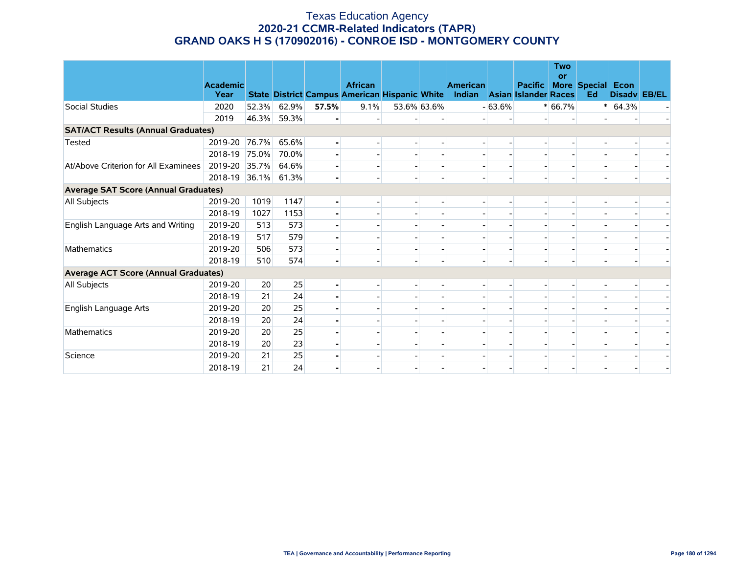#### Texas Education Agency **2020-21 CCMR-Related Indicators (TAPR) GRAND OAKS H S (170902016) - CONROE ISD - MONTGOMERY COUNTY**

|                                             | Academic<br>Year |       |       |       | <b>African</b><br><b>State District Campus American Hispanic White</b> |                          |             | <b>American</b><br>Indian |          | <b>Pacific</b><br><b>Asian Islander Races</b> | <b>Two</b><br>or | <b>More Special Econ</b><br>Ed | <b>Disadv EB/EL</b> |                          |
|---------------------------------------------|------------------|-------|-------|-------|------------------------------------------------------------------------|--------------------------|-------------|---------------------------|----------|-----------------------------------------------|------------------|--------------------------------|---------------------|--------------------------|
| Social Studies                              | 2020             | 52.3% | 62.9% | 57.5% | 9.1%                                                                   |                          | 53.6% 63.6% |                           | $-63.6%$ |                                               | $* 66.7%$        | $\ast$                         | 64.3%               |                          |
|                                             | 2019             | 46.3% | 59.3% |       |                                                                        |                          |             |                           |          |                                               |                  |                                |                     |                          |
| <b>SAT/ACT Results (Annual Graduates)</b>   |                  |       |       |       |                                                                        |                          |             |                           |          |                                               |                  |                                |                     |                          |
| Tested                                      | 2019-20          | 76.7% | 65.6% |       |                                                                        |                          |             |                           |          |                                               |                  |                                |                     |                          |
|                                             | 2018-19          | 75.0% | 70.0% |       |                                                                        |                          |             |                           |          |                                               |                  |                                |                     |                          |
| At/Above Criterion for All Examinees        | 2019-20          | 35.7% | 64.6% |       |                                                                        |                          |             |                           |          |                                               |                  |                                |                     |                          |
|                                             | 2018-19          | 36.1% | 61.3% |       |                                                                        |                          |             |                           |          |                                               |                  |                                |                     |                          |
| <b>Average SAT Score (Annual Graduates)</b> |                  |       |       |       |                                                                        |                          |             |                           |          |                                               |                  |                                |                     |                          |
| All Subjects                                | 2019-20          | 1019  | 1147  |       |                                                                        |                          |             |                           |          |                                               |                  |                                |                     |                          |
|                                             | 2018-19          | 1027  | 1153  |       |                                                                        |                          |             |                           |          |                                               |                  |                                |                     |                          |
| English Language Arts and Writing           | 2019-20          | 513   | 573   |       |                                                                        |                          |             |                           |          |                                               |                  |                                |                     |                          |
|                                             | 2018-19          | 517   | 579   |       |                                                                        |                          |             |                           |          |                                               |                  |                                |                     |                          |
| <b>Mathematics</b>                          | 2019-20          | 506   | 573   |       |                                                                        |                          |             |                           |          |                                               |                  |                                |                     |                          |
|                                             | 2018-19          | 510   | 574   |       |                                                                        | $\overline{\phantom{a}}$ |             |                           |          |                                               |                  |                                |                     |                          |
| <b>Average ACT Score (Annual Graduates)</b> |                  |       |       |       |                                                                        |                          |             |                           |          |                                               |                  |                                |                     |                          |
| All Subjects                                | 2019-20          | 20    | 25    |       |                                                                        |                          |             |                           |          |                                               |                  |                                |                     |                          |
|                                             | 2018-19          | 21    | 24    |       |                                                                        |                          |             |                           |          |                                               |                  |                                |                     |                          |
| English Language Arts                       | 2019-20          | 20    | 25    |       |                                                                        |                          |             |                           |          |                                               |                  |                                |                     |                          |
|                                             | 2018-19          | 20    | 24    |       |                                                                        |                          |             |                           |          |                                               |                  |                                |                     | $\overline{\phantom{a}}$ |
| <b>Mathematics</b>                          | 2019-20          | 20    | 25    |       |                                                                        |                          |             |                           |          |                                               |                  |                                |                     |                          |
|                                             | 2018-19          | 20    | 23    |       |                                                                        |                          |             |                           |          |                                               |                  |                                |                     |                          |
| Science                                     | 2019-20          | 21    | 25    |       |                                                                        |                          |             |                           |          |                                               |                  |                                |                     |                          |
|                                             | 2018-19          | 21    | 24    |       |                                                                        |                          |             |                           |          |                                               |                  |                                |                     |                          |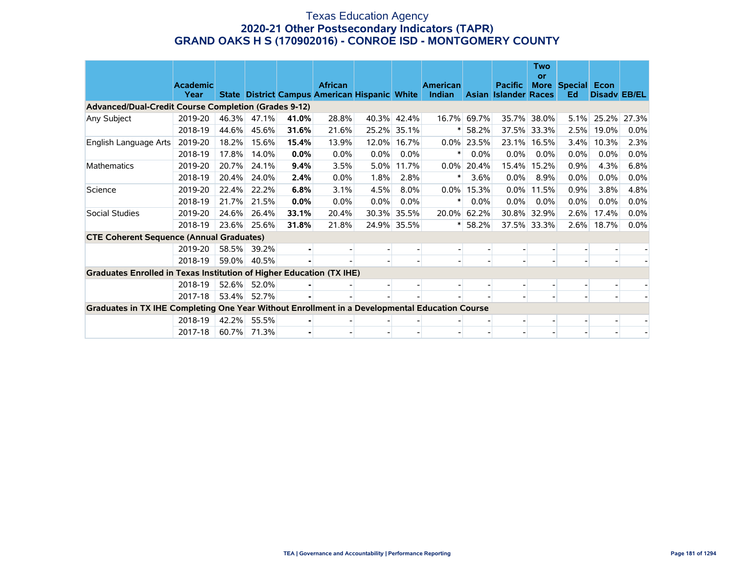#### Texas Education Agency **2020-21 Other Postsecondary Indicators (TAPR) GRAND OAKS H S (170902016) - CONROE ISD - MONTGOMERY COUNTY**

|                                                                                                | <b>Academic</b> |       |       |         | <b>African</b>                                |         |             | <b>American</b> |             | <b>Pacific</b>              | <b>Two</b><br>or | <b>More Special Econ</b> |                     |         |
|------------------------------------------------------------------------------------------------|-----------------|-------|-------|---------|-----------------------------------------------|---------|-------------|-----------------|-------------|-----------------------------|------------------|--------------------------|---------------------|---------|
|                                                                                                | Year            |       |       |         | State District Campus American Hispanic White |         |             | Indian          |             | <b>Asian Islander Races</b> |                  | Ed                       | <b>Disady EB/EL</b> |         |
| <b>Advanced/Dual-Credit Course Completion (Grades 9-12)</b>                                    |                 |       |       |         |                                               |         |             |                 |             |                             |                  |                          |                     |         |
| Any Subject                                                                                    | 2019-20         | 46.3% | 47.1% | 41.0%   | 28.8%                                         |         | 40.3% 42.4% |                 | 16.7% 69.7% |                             | 35.7% 38.0%      | 5.1%                     | 25.2%               | 27.3%   |
|                                                                                                | 2018-19         | 44.6% | 45.6% | 31.6%   | 21.6%                                         |         | 25.2% 35.1% | *               | 58.2%       |                             | 37.5% 33.3%      | 2.5%                     | 19.0%               | 0.0%    |
| English Language Arts                                                                          | 2019-20         | 18.2% | 15.6% | 15.4%   | 13.9%                                         | 12.0%   | 16.7%       | $0.0\%$         | 23.5%       | 23.1%                       | 16.5%            | 3.4%                     | 10.3%               | 2.3%    |
|                                                                                                | 2018-19         | 17.8% | 14.0% | 0.0%    | $0.0\%$                                       | 0.0%    | 0.0%        | ∗               | $0.0\%$     | 0.0%                        | $0.0\%$          | $0.0\%$                  | $0.0\%$             | $0.0\%$ |
| <b>Mathematics</b>                                                                             | 2019-20         | 20.7% | 24.1% | 9.4%    | 3.5%                                          | $5.0\%$ | 11.7%       | $0.0\%$         | 20.4%       | 15.4%                       | 15.2%            | 0.9%                     | 4.3%                | 6.8%    |
|                                                                                                | 2018-19         | 20.4% | 24.0% | 2.4%    | $0.0\%$                                       | 1.8%    | 2.8%        | ∗               | 3.6%        | 0.0%                        | 8.9%             | 0.0%                     | 0.0%                | 0.0%    |
| Science                                                                                        | 2019-20         | 22.4% | 22.2% | 6.8%    | 3.1%                                          | 4.5%    | 8.0%        | $0.0\%$         | 15.3%       | $0.0\%$                     | 11.5%            | 0.9%                     | 3.8%                | 4.8%    |
|                                                                                                | 2018-19         | 21.7% | 21.5% | $0.0\%$ | $0.0\%$                                       | $0.0\%$ | 0.0%        | *               | $0.0\%$     | $0.0\%$                     | $0.0\%$          | $0.0\%$                  | $0.0\%$             | $0.0\%$ |
| Social Studies                                                                                 | 2019-20         | 24.6% | 26.4% | 33.1%   | 20.4%                                         |         | 30.3% 35.5% | 20.0%           | 62.2%       |                             | 30.8% 32.9%      | 2.6%                     | 17.4%               | 0.0%    |
|                                                                                                | 2018-19         | 23.6% | 25.6% | 31.8%   | 21.8%                                         |         | 24.9% 35.5% | $\ast$          | 58.2%       |                             | 37.5% 33.3%      | 2.6%                     | 18.7%               | 0.0%    |
| <b>CTE Coherent Sequence (Annual Graduates)</b>                                                |                 |       |       |         |                                               |         |             |                 |             |                             |                  |                          |                     |         |
|                                                                                                | 2019-20         | 58.5% | 39.2% |         |                                               |         |             |                 |             |                             |                  |                          |                     |         |
|                                                                                                | 2018-19         | 59.0% | 40.5% |         |                                               |         |             |                 |             |                             |                  |                          |                     |         |
| Graduates Enrolled in Texas Institution of Higher Education (TX IHE)                           |                 |       |       |         |                                               |         |             |                 |             |                             |                  |                          |                     |         |
|                                                                                                | 2018-19         | 52.6% | 52.0% |         |                                               |         |             |                 |             |                             |                  |                          |                     |         |
|                                                                                                | 2017-18         | 53.4% | 52.7% |         |                                               |         |             |                 |             |                             |                  |                          |                     |         |
| Graduates in TX IHE Completing One Year Without Enrollment in a Developmental Education Course |                 |       |       |         |                                               |         |             |                 |             |                             |                  |                          |                     |         |
|                                                                                                | 2018-19         | 42.2% | 55.5% |         |                                               |         |             |                 |             |                             |                  |                          |                     |         |
|                                                                                                | 2017-18         | 60.7% | 71.3% |         |                                               |         |             |                 |             |                             |                  |                          |                     |         |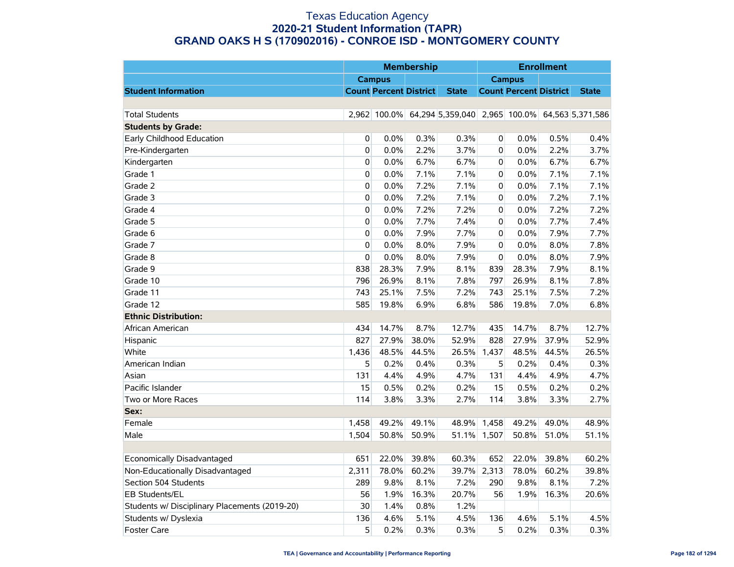#### Texas Education Agency **2020-21 Student Information (TAPR) GRAND OAKS H S (170902016) - CONROE ISD - MONTGOMERY COUNTY**

|                                               |              | <b>Membership</b>             |       |                                                             | <b>Enrollment</b> |                               |       |              |
|-----------------------------------------------|--------------|-------------------------------|-------|-------------------------------------------------------------|-------------------|-------------------------------|-------|--------------|
|                                               |              | <b>Campus</b>                 |       |                                                             |                   | <b>Campus</b>                 |       |              |
| <b>Student Information</b>                    |              | <b>Count Percent District</b> |       | <b>State</b>                                                |                   | <b>Count Percent District</b> |       | <b>State</b> |
|                                               |              |                               |       |                                                             |                   |                               |       |              |
| <b>Total Students</b>                         |              |                               |       | 2,962 100.0% 64,294 5,359,040 2,965 100.0% 64,563 5,371,586 |                   |                               |       |              |
| <b>Students by Grade:</b>                     |              |                               |       |                                                             |                   |                               |       |              |
| Early Childhood Education                     | 0            | 0.0%                          | 0.3%  | 0.3%                                                        | 0                 | 0.0%                          | 0.5%  | 0.4%         |
| Pre-Kindergarten                              | 0            | 0.0%                          | 2.2%  | 3.7%                                                        | 0                 | 0.0%                          | 2.2%  | 3.7%         |
| Kindergarten                                  | $\mathbf 0$  | 0.0%                          | 6.7%  | 6.7%                                                        | 0                 | 0.0%                          | 6.7%  | 6.7%         |
| Grade 1                                       | 0            | 0.0%                          | 7.1%  | 7.1%                                                        | 0                 | 0.0%                          | 7.1%  | 7.1%         |
| Grade 2                                       | $\mathbf{0}$ | 0.0%                          | 7.2%  | 7.1%                                                        | $\mathbf 0$       | 0.0%                          | 7.1%  | 7.1%         |
| Grade 3                                       | 0            | 0.0%                          | 7.2%  | 7.1%                                                        | 0                 | 0.0%                          | 7.2%  | 7.1%         |
| Grade 4                                       | $\mathbf 0$  | 0.0%                          | 7.2%  | 7.2%                                                        | 0                 | 0.0%                          | 7.2%  | 7.2%         |
| Grade 5                                       | $\mathbf 0$  | 0.0%                          | 7.7%  | 7.4%                                                        | 0                 | 0.0%                          | 7.7%  | 7.4%         |
| Grade 6                                       | 0            | 0.0%                          | 7.9%  | 7.7%                                                        | 0                 | 0.0%                          | 7.9%  | 7.7%         |
| Grade 7                                       | $\mathbf 0$  | 0.0%                          | 8.0%  | 7.9%                                                        | 0                 | 0.0%                          | 8.0%  | 7.8%         |
| Grade 8                                       | $\mathbf 0$  | 0.0%                          | 8.0%  | 7.9%                                                        | 0                 | 0.0%                          | 8.0%  | 7.9%         |
| Grade 9                                       | 838          | 28.3%                         | 7.9%  | 8.1%                                                        | 839               | 28.3%                         | 7.9%  | 8.1%         |
| Grade 10                                      | 796          | 26.9%                         | 8.1%  | 7.8%                                                        | 797               | 26.9%                         | 8.1%  | 7.8%         |
| Grade 11                                      | 743          | 25.1%                         | 7.5%  | 7.2%                                                        | 743               | 25.1%                         | 7.5%  | 7.2%         |
| Grade 12                                      | 585          | 19.8%                         | 6.9%  | 6.8%                                                        | 586               | 19.8%                         | 7.0%  | 6.8%         |
| <b>Ethnic Distribution:</b>                   |              |                               |       |                                                             |                   |                               |       |              |
| African American                              | 434          | 14.7%                         | 8.7%  | 12.7%                                                       | 435               | 14.7%                         | 8.7%  | 12.7%        |
| Hispanic                                      | 827          | 27.9%                         | 38.0% | 52.9%                                                       | 828               | 27.9%                         | 37.9% | 52.9%        |
| White                                         | 1,436        | 48.5%                         | 44.5% | 26.5%                                                       | 1,437             | 48.5%                         | 44.5% | 26.5%        |
| American Indian                               | 5            | 0.2%                          | 0.4%  | 0.3%                                                        | 5                 | 0.2%                          | 0.4%  | 0.3%         |
| Asian                                         | 131          | 4.4%                          | 4.9%  | 4.7%                                                        | 131               | 4.4%                          | 4.9%  | 4.7%         |
| Pacific Islander                              | 15           | 0.5%                          | 0.2%  | 0.2%                                                        | 15                | 0.5%                          | 0.2%  | 0.2%         |
| Two or More Races                             | 114          | 3.8%                          | 3.3%  | 2.7%                                                        | 114               | 3.8%                          | 3.3%  | 2.7%         |
| Sex:                                          |              |                               |       |                                                             |                   |                               |       |              |
| Female                                        | 1,458        | 49.2%                         | 49.1% | 48.9%                                                       | 1,458             | 49.2%                         | 49.0% | 48.9%        |
| Male                                          | 1,504        | 50.8%                         | 50.9% | 51.1%                                                       | 1,507             | 50.8%                         | 51.0% | 51.1%        |
|                                               |              |                               |       |                                                             |                   |                               |       |              |
| Economically Disadvantaged                    | 651          | 22.0%                         | 39.8% | 60.3%                                                       | 652               | 22.0%                         | 39.8% | 60.2%        |
| Non-Educationally Disadvantaged               | 2,311        | 78.0%                         | 60.2% | 39.7%                                                       | 2,313             | 78.0%                         | 60.2% | 39.8%        |
| Section 504 Students                          | 289          | 9.8%                          | 8.1%  | 7.2%                                                        | 290               | 9.8%                          | 8.1%  | 7.2%         |
| EB Students/EL                                | 56           | 1.9%                          | 16.3% | 20.7%                                                       | 56                | 1.9%                          | 16.3% | 20.6%        |
| Students w/ Disciplinary Placements (2019-20) | 30           | 1.4%                          | 0.8%  | 1.2%                                                        |                   |                               |       |              |
| Students w/ Dyslexia                          | 136          | 4.6%                          | 5.1%  | 4.5%                                                        | 136               | 4.6%                          | 5.1%  | 4.5%         |
| <b>Foster Care</b>                            | 5            | 0.2%                          | 0.3%  | 0.3%                                                        | 5                 | 0.2%                          | 0.3%  | 0.3%         |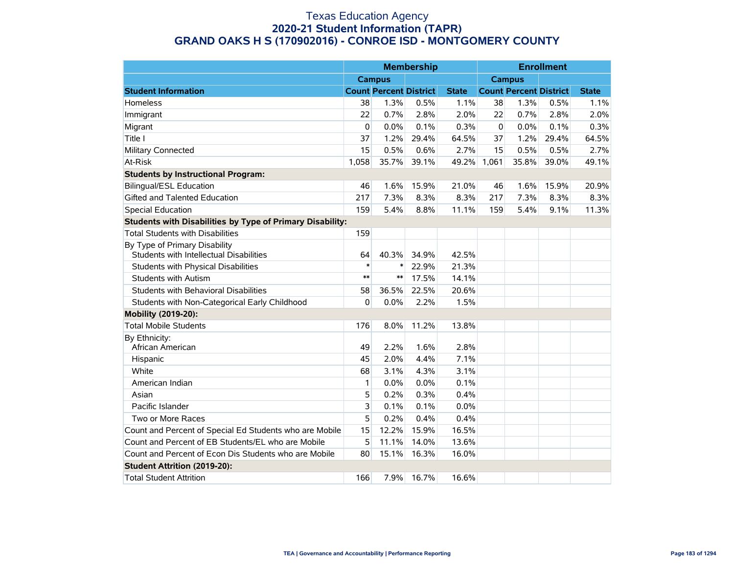#### Texas Education Agency **2020-21 Student Information (TAPR) GRAND OAKS H S (170902016) - CONROE ISD - MONTGOMERY COUNTY**

|                                                                          | <b>Membership</b> |                               |       | <b>Enrollment</b> |          |                               |       |              |
|--------------------------------------------------------------------------|-------------------|-------------------------------|-------|-------------------|----------|-------------------------------|-------|--------------|
|                                                                          |                   | <b>Campus</b>                 |       |                   |          | <b>Campus</b>                 |       |              |
| <b>Student Information</b>                                               |                   | <b>Count Percent District</b> |       | <b>State</b>      |          | <b>Count Percent District</b> |       | <b>State</b> |
| Homeless                                                                 | 38                | 1.3%                          | 0.5%  | 1.1%              | 38       | 1.3%                          | 0.5%  | 1.1%         |
| Immigrant                                                                | 22                | 0.7%                          | 2.8%  | 2.0%              | 22       | 0.7%                          | 2.8%  | 2.0%         |
| Migrant                                                                  | $\Omega$          | 0.0%                          | 0.1%  | 0.3%              | $\Omega$ | 0.0%                          | 0.1%  | 0.3%         |
| Title I                                                                  | 37                | 1.2%                          | 29.4% | 64.5%             | 37       | 1.2%                          | 29.4% | 64.5%        |
| Military Connected                                                       | 15                | 0.5%                          | 0.6%  | 2.7%              | 15       | 0.5%                          | 0.5%  | 2.7%         |
| At-Risk                                                                  | 1.058             | 35.7%                         | 39.1% | 49.2%             | 1,061    | 35.8%                         | 39.0% | 49.1%        |
| <b>Students by Instructional Program:</b>                                |                   |                               |       |                   |          |                               |       |              |
| <b>Bilingual/ESL Education</b>                                           | 46                | 1.6%                          | 15.9% | 21.0%             | 46       | 1.6%                          | 15.9% | 20.9%        |
| Gifted and Talented Education                                            | 217               | 7.3%                          | 8.3%  | 8.3%              | 217      | 7.3%                          | 8.3%  | 8.3%         |
| <b>Special Education</b>                                                 | 159               | 5.4%                          | 8.8%  | 11.1%             | 159      | 5.4%                          | 9.1%  | 11.3%        |
| Students with Disabilities by Type of Primary Disability:                |                   |                               |       |                   |          |                               |       |              |
| <b>Total Students with Disabilities</b>                                  | 159               |                               |       |                   |          |                               |       |              |
| By Type of Primary Disability<br>Students with Intellectual Disabilities | 64                | 40.3%                         | 34.9% | 42.5%             |          |                               |       |              |
| Students with Physical Disabilities                                      | $\ast$            | $\ast$                        | 22.9% | 21.3%             |          |                               |       |              |
| <b>Students with Autism</b>                                              | $**$              | $**$                          | 17.5% | 14.1%             |          |                               |       |              |
| Students with Behavioral Disabilities                                    | 58                | 36.5%                         | 22.5% | 20.6%             |          |                               |       |              |
| Students with Non-Categorical Early Childhood                            | $\mathbf 0$       | 0.0%                          | 2.2%  | 1.5%              |          |                               |       |              |
| Mobility (2019-20):                                                      |                   |                               |       |                   |          |                               |       |              |
| <b>Total Mobile Students</b>                                             | 176               | 8.0%                          | 11.2% | 13.8%             |          |                               |       |              |
| By Ethnicity:<br>African American                                        | 49                | 2.2%                          | 1.6%  | 2.8%              |          |                               |       |              |
| Hispanic                                                                 | 45                | 2.0%                          | 4.4%  | 7.1%              |          |                               |       |              |
| White                                                                    | 68                | 3.1%                          | 4.3%  | 3.1%              |          |                               |       |              |
| American Indian                                                          | 1                 | 0.0%                          | 0.0%  | 0.1%              |          |                               |       |              |
| Asian                                                                    | 5                 | 0.2%                          | 0.3%  | 0.4%              |          |                               |       |              |
| Pacific Islander                                                         | 3                 | 0.1%                          | 0.1%  | 0.0%              |          |                               |       |              |
| Two or More Races                                                        | 5                 | 0.2%                          | 0.4%  | 0.4%              |          |                               |       |              |
| Count and Percent of Special Ed Students who are Mobile                  | 15                | 12.2%                         | 15.9% | 16.5%             |          |                               |       |              |
| Count and Percent of EB Students/EL who are Mobile                       | 5                 | 11.1%                         | 14.0% | 13.6%             |          |                               |       |              |
| Count and Percent of Econ Dis Students who are Mobile                    | 80                | 15.1%                         | 16.3% | 16.0%             |          |                               |       |              |
| <b>Student Attrition (2019-20):</b>                                      |                   |                               |       |                   |          |                               |       |              |
| <b>Total Student Attrition</b>                                           | 166               | 7.9%                          | 16.7% | 16.6%             |          |                               |       |              |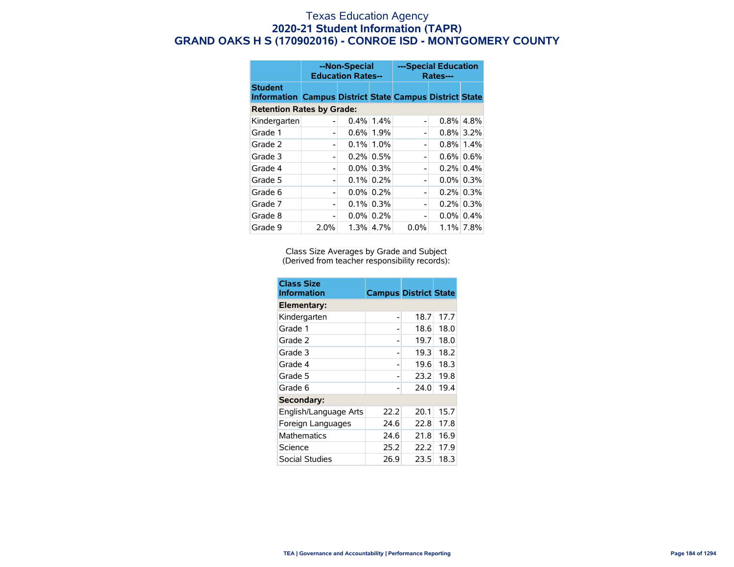#### Texas Education Agency **2020-21 Student Information (TAPR) GRAND OAKS H S (170902016) - CONROE ISD - MONTGOMERY COUNTY**

|                                                                                  |      | --Non-Special<br><b>Education Rates--</b> |              | ---Special Education<br>Rates--- |  |              |  |
|----------------------------------------------------------------------------------|------|-------------------------------------------|--------------|----------------------------------|--|--------------|--|
| <b>Student</b><br><b>Information Campus District State Campus District State</b> |      |                                           |              |                                  |  |              |  |
| <b>Retention Rates by Grade:</b>                                                 |      |                                           |              |                                  |  |              |  |
| Kindergarten                                                                     |      |                                           | $0.4\%$ 1.4% | $\overline{\phantom{0}}$         |  | $0.8\%$ 4.8% |  |
| Grade 1                                                                          |      |                                           | $0.6\%$ 1.9% | $\overline{\phantom{0}}$         |  | $0.8\%$ 3.2% |  |
| Grade 2                                                                          |      |                                           | $0.1\%$ 1.0% | -                                |  | $0.8\%$ 1.4% |  |
| Grade 3                                                                          |      |                                           | $0.2\%$ 0.5% | -                                |  | $0.6\%$ 0.6% |  |
| Grade 4                                                                          |      |                                           | $0.0\%$ 0.3% | $\overline{\phantom{0}}$         |  | $0.2\%$ 0.4% |  |
| Grade 5                                                                          |      |                                           | $0.1\%$ 0.2% | -                                |  | $0.0\%$ 0.3% |  |
| Grade 6                                                                          |      |                                           | $0.0\%$ 0.2% | -                                |  | $0.2\%$ 0.3% |  |
| Grade 7                                                                          |      |                                           | $0.1\%$ 0.3% | -                                |  | $0.2\%$ 0.3% |  |
| Grade 8                                                                          |      |                                           | $0.0\%$ 0.2% | -                                |  | $0.0\%$ 0.4% |  |
| Grade 9                                                                          | 2.0% |                                           | 1.3% 4.7%    | 0.0%                             |  | 1.1% 7.8%    |  |

Class Size Averages by Grade and Subject (Derived from teacher responsibility records):

| <b>Class Size</b><br><b>Information</b> | <b>Campus District State</b> |      |      |
|-----------------------------------------|------------------------------|------|------|
| Elementary:                             |                              |      |      |
| Kindergarten                            |                              | 18.7 | 17.7 |
| Grade 1                                 |                              | 18.6 | 18.0 |
| Grade 2                                 |                              | 19.7 | 18.0 |
| Grade 3                                 |                              | 19.3 | 18.2 |
| Grade 4                                 |                              | 19.6 | 18.3 |
| Grade 5                                 |                              | 23.2 | 19.8 |
| Grade 6                                 |                              | 24.0 | 19.4 |
| Secondary:                              |                              |      |      |
| English/Language Arts                   | 22.2                         | 20.1 | 15.7 |
| Foreign Languages                       | 24.6                         | 22.8 | 17.8 |
| <b>Mathematics</b>                      | 24.6                         | 21.8 | 16.9 |
| Science                                 | 25.2                         | 22.2 | 17.9 |
| Social Studies                          | 26.9                         | 23.5 | 18.3 |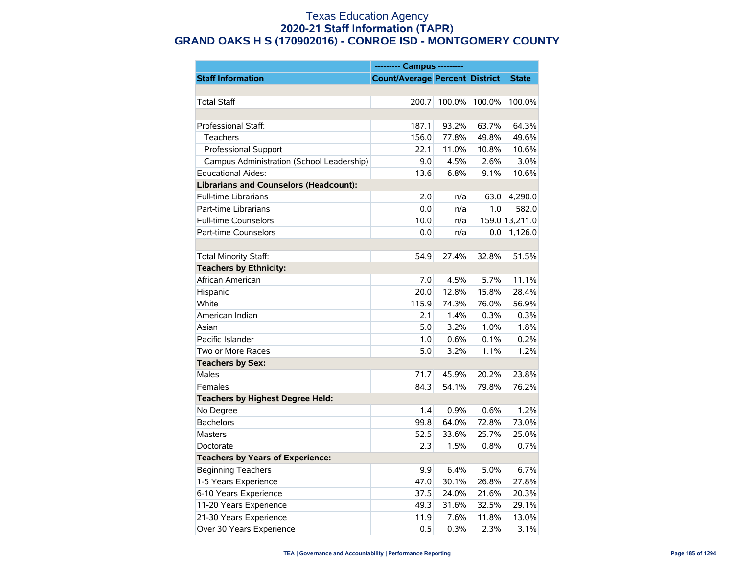#### Texas Education Agency **2020-21 Staff Information (TAPR) GRAND OAKS H S (170902016) - CONROE ISD - MONTGOMERY COUNTY**

|                                               | --------- Campus ---------            |        |        |                |
|-----------------------------------------------|---------------------------------------|--------|--------|----------------|
| <b>Staff Information</b>                      | <b>Count/Average Percent District</b> |        |        | <b>State</b>   |
|                                               |                                       |        |        |                |
| Total Staff                                   | 200.7                                 | 100.0% | 100.0% | 100.0%         |
|                                               |                                       |        |        |                |
| Professional Staff:                           | 187.1                                 | 93.2%  | 63.7%  | 64.3%          |
| <b>Teachers</b>                               | 156.0                                 | 77.8%  | 49.8%  | 49.6%          |
| Professional Support                          | 22.1                                  | 11.0%  | 10.8%  | 10.6%          |
| Campus Administration (School Leadership)     | 9.0                                   | 4.5%   | 2.6%   | 3.0%           |
| <b>Educational Aides:</b>                     | 13.6                                  | 6.8%   | 9.1%   | 10.6%          |
| <b>Librarians and Counselors (Headcount):</b> |                                       |        |        |                |
| <b>Full-time Librarians</b>                   | 2.0                                   | n/a    | 63.0   | 4,290.0        |
| Part-time Librarians                          | 0.0                                   | n/a    | 1.0    | 582.0          |
| <b>Full-time Counselors</b>                   | 10.0                                  | n/a    |        | 159.0 13,211.0 |
| Part-time Counselors                          | 0.0                                   | n/a    | 0.0    | 1,126.0        |
|                                               |                                       |        |        |                |
| Total Minority Staff:                         | 54.9                                  | 27.4%  | 32.8%  | 51.5%          |
| <b>Teachers by Ethnicity:</b>                 |                                       |        |        |                |
| African American                              | 7.0                                   | 4.5%   | 5.7%   | 11.1%          |
| Hispanic                                      | 20.0                                  | 12.8%  | 15.8%  | 28.4%          |
| White                                         | 115.9                                 | 74.3%  | 76.0%  | 56.9%          |
| American Indian                               | 2.1                                   | 1.4%   | 0.3%   | 0.3%           |
| Asian                                         | 5.0                                   | 3.2%   | 1.0%   | 1.8%           |
| Pacific Islander                              | 1.0                                   | 0.6%   | 0.1%   | 0.2%           |
| Two or More Races                             | 5.0                                   | 3.2%   | 1.1%   | 1.2%           |
| <b>Teachers by Sex:</b>                       |                                       |        |        |                |
| <b>Males</b>                                  | 71.7                                  | 45.9%  | 20.2%  | 23.8%          |
| Females                                       | 84.3                                  | 54.1%  | 79.8%  | 76.2%          |
| <b>Teachers by Highest Degree Held:</b>       |                                       |        |        |                |
| No Degree                                     | 1.4                                   | 0.9%   | 0.6%   | 1.2%           |
| <b>Bachelors</b>                              | 99.8                                  | 64.0%  | 72.8%  | 73.0%          |
| <b>Masters</b>                                | 52.5                                  | 33.6%  | 25.7%  | 25.0%          |
| Doctorate                                     | 2.3                                   | 1.5%   | 0.8%   | 0.7%           |
| <b>Teachers by Years of Experience:</b>       |                                       |        |        |                |
| <b>Beginning Teachers</b>                     | 9.9                                   | 6.4%   | 5.0%   | 6.7%           |
| 1-5 Years Experience                          | 47.0                                  | 30.1%  | 26.8%  | 27.8%          |
| 6-10 Years Experience                         | 37.5                                  | 24.0%  | 21.6%  | 20.3%          |
| 11-20 Years Experience                        | 49.3                                  | 31.6%  | 32.5%  | 29.1%          |
| 21-30 Years Experience                        | 11.9                                  | 7.6%   | 11.8%  | 13.0%          |
| Over 30 Years Experience                      | 0.5                                   | 0.3%   | 2.3%   | 3.1%           |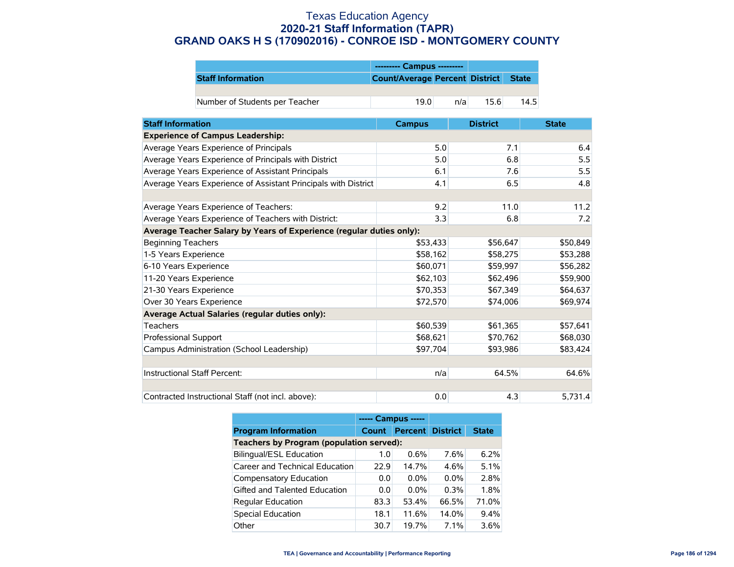#### Texas Education Agency **2020-21 Staff Information (TAPR) GRAND OAKS H S (170902016) - CONROE ISD - MONTGOMERY COUNTY**

|                                | --------- Campus ---------           |      |
|--------------------------------|--------------------------------------|------|
| <b>Staff Information</b>       | Count/Average Percent District State |      |
|                                |                                      |      |
| Number of Students per Teacher | 19.0<br>15.6<br>n/a                  | 14.5 |

| <b>Staff Information</b>                                             | <b>Campus</b> | <b>District</b> | <b>State</b> |  |  |  |  |  |
|----------------------------------------------------------------------|---------------|-----------------|--------------|--|--|--|--|--|
| <b>Experience of Campus Leadership:</b>                              |               |                 |              |  |  |  |  |  |
| Average Years Experience of Principals                               | 5.0           | 7.1             | 6.4          |  |  |  |  |  |
| Average Years Experience of Principals with District                 | 5.0           | 6.8             | 5.5          |  |  |  |  |  |
| Average Years Experience of Assistant Principals                     | 6.1           | 7.6             | 5.5          |  |  |  |  |  |
| Average Years Experience of Assistant Principals with District       | 4.1           | 6.5             | 4.8          |  |  |  |  |  |
|                                                                      |               |                 |              |  |  |  |  |  |
| Average Years Experience of Teachers:                                | 9.2           | 11.0            | 11.2         |  |  |  |  |  |
| Average Years Experience of Teachers with District:                  | 3.3           | 6.8             | 7.2          |  |  |  |  |  |
| Average Teacher Salary by Years of Experience (regular duties only): |               |                 |              |  |  |  |  |  |
| <b>Beginning Teachers</b>                                            | \$53,433      | \$56,647        | \$50,849     |  |  |  |  |  |
| 1-5 Years Experience                                                 | \$58,162      | \$58,275        | \$53,288     |  |  |  |  |  |
| 6-10 Years Experience                                                | \$60,071      | \$59,997        | \$56,282     |  |  |  |  |  |
| 11-20 Years Experience                                               | \$62,103      | \$62,496        | \$59,900     |  |  |  |  |  |
| 21-30 Years Experience                                               | \$70,353      | \$67,349        | \$64,637     |  |  |  |  |  |
| Over 30 Years Experience                                             | \$72,570      | \$74,006        | \$69,974     |  |  |  |  |  |
| Average Actual Salaries (regular duties only):                       |               |                 |              |  |  |  |  |  |
| <b>Teachers</b>                                                      | \$60,539      | \$61,365        | \$57,641     |  |  |  |  |  |
| Professional Support                                                 | \$68,621      | \$70,762        | \$68,030     |  |  |  |  |  |
| Campus Administration (School Leadership)                            | \$97,704      | \$93.986        | \$83.424     |  |  |  |  |  |
|                                                                      |               |                 |              |  |  |  |  |  |
| Instructional Staff Percent:                                         | n/a           | 64.5%           | 64.6%        |  |  |  |  |  |
|                                                                      |               |                 |              |  |  |  |  |  |
| Contracted Instructional Staff (not incl. above):                    | 0.0           | 4.3             | 5,731.4      |  |  |  |  |  |

|                                          | ----- Campus ----- |                         |         |              |  |  |  |
|------------------------------------------|--------------------|-------------------------|---------|--------------|--|--|--|
| <b>Program Information</b>               | <b>Count</b>       | <b>Percent District</b> |         | <b>State</b> |  |  |  |
| Teachers by Program (population served): |                    |                         |         |              |  |  |  |
| <b>Bilingual/ESL Education</b>           | 1.0                | 0.6%                    | 7.6%    | 6.2%         |  |  |  |
| Career and Technical Education           | 22.9               | 14.7%                   | 4.6%    | 5.1%         |  |  |  |
| Compensatory Education                   | 0.0                | $0.0\%$                 | $0.0\%$ | 2.8%         |  |  |  |
| Gifted and Talented Education            | 0.0                | $0.0\%$                 | 0.3%    | 1.8%         |  |  |  |
| <b>Regular Education</b>                 | 83.3               | 53.4%                   | 66.5%   | 71.0%        |  |  |  |
| <b>Special Education</b>                 | 18.1               | 11.6%                   | 14.0%   | 9.4%         |  |  |  |
| Other                                    | 30.7               | 19.7%                   | 7.1%    | 3.6%         |  |  |  |